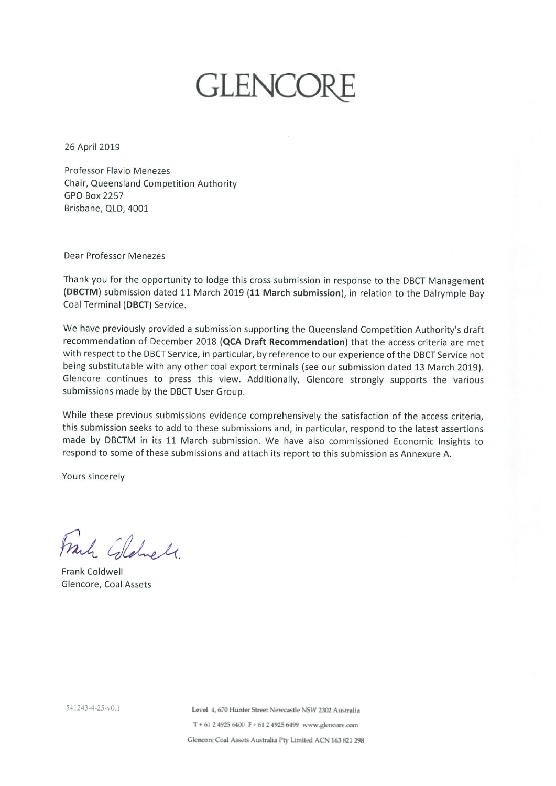# **GLENCOF**

26 April 2019

**Professor Flavio Menezes** Chair, Queensland Competition Authority **GPO Box 2257** Brisbane, QLD, 4001

Dear Professor Menezes

Thank you for the opportunity to lodge this cross submission in response to the DBCT Management (DBCTM) submission dated 11 March 2019 (11 March submission), in relation to the Dalrymple Bay Coal Terminal (DBCT) Service.

We have previously provided a submission supporting the Queensland Competition Authority's draft recommendation of December 2018 (QCA Draft Recommendation) that the access criteria are met with respect to the DBCT Service, in particular, by reference to our experience of the DBCT Service not being substitutable with any other coal export terminals (see our submission dated 13 March 2019). Glencore continues to press this view. Additionally, Glencore strongly supports the various submissions made by the DBCT User Group.

While these previous submissions evidence comprehensively the satisfaction of the access criteria, this submission seeks to add to these submissions and, in particular, respond to the latest assertions made by DBCTM in its 11 March submission. We have also commissioned Economic Insights to respond to some of these submissions and attach its report to this submission as Annexure A.

Yours sincerely

Frank Glehell.

Frank Coldwell Glencore, Coal Assets

Level 4, 670 Hunter Street Newcastle NSW 2302 Australia T + 61 2 4925 6400 F + 61 2 4925 6499 www.glencore.com Glencore Coal Assets Australia Pty Limited ACN 163 821 298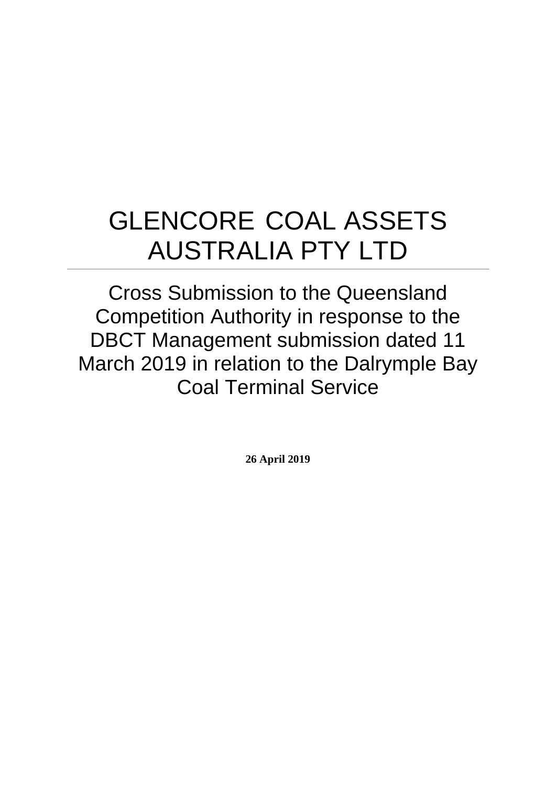# GLENCORE COAL ASSETS AUSTRALIA PTY LTD

Cross Submission to the Queensland Competition Authority in response to the DBCT Management submission dated 11 March 2019 in relation to the Dalrymple Bay Coal Terminal Service

**26 April 2019**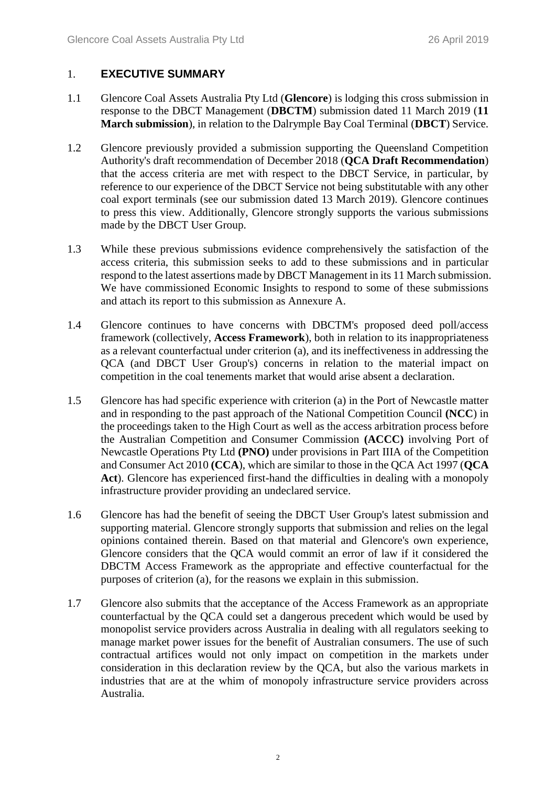#### 1. **EXECUTIVE SUMMARY**

- 1.1 Glencore Coal Assets Australia Pty Ltd (**Glencore**) is lodging this cross submission in response to the DBCT Management (**DBCTM**) submission dated 11 March 2019 (**11 March submission**), in relation to the Dalrymple Bay Coal Terminal (**DBCT**) Service.
- 1.2 Glencore previously provided a submission supporting the Queensland Competition Authority's draft recommendation of December 2018 (**QCA Draft Recommendation**) that the access criteria are met with respect to the DBCT Service, in particular, by reference to our experience of the DBCT Service not being substitutable with any other coal export terminals (see our submission dated 13 March 2019). Glencore continues to press this view. Additionally, Glencore strongly supports the various submissions made by the DBCT User Group.
- 1.3 While these previous submissions evidence comprehensively the satisfaction of the access criteria, this submission seeks to add to these submissions and in particular respond to the latest assertions made by DBCT Management in its 11 March submission. We have commissioned Economic Insights to respond to some of these submissions and attach its report to this submission as Annexure A.
- 1.4 Glencore continues to have concerns with DBCTM's proposed deed poll/access framework (collectively, **Access Framework**), both in relation to its inappropriateness as a relevant counterfactual under criterion (a), and its ineffectiveness in addressing the QCA (and DBCT User Group's) concerns in relation to the material impact on competition in the coal tenements market that would arise absent a declaration.
- 1.5 Glencore has had specific experience with criterion (a) in the Port of Newcastle matter and in responding to the past approach of the National Competition Council **(NCC**) in the proceedings taken to the High Court as well as the access arbitration process before the Australian Competition and Consumer Commission **(ACCC)** involving Port of Newcastle Operations Pty Ltd **(PNO)** under provisions in Part IIIA of the Competition and Consumer Act 2010 **(CCA**), which are similar to those in the QCA Act 1997 (**QCA**  Act). Glencore has experienced first-hand the difficulties in dealing with a monopoly infrastructure provider providing an undeclared service.
- 1.6 Glencore has had the benefit of seeing the DBCT User Group's latest submission and supporting material. Glencore strongly supports that submission and relies on the legal opinions contained therein. Based on that material and Glencore's own experience, Glencore considers that the QCA would commit an error of law if it considered the DBCTM Access Framework as the appropriate and effective counterfactual for the purposes of criterion (a), for the reasons we explain in this submission.
- 1.7 Glencore also submits that the acceptance of the Access Framework as an appropriate counterfactual by the QCA could set a dangerous precedent which would be used by monopolist service providers across Australia in dealing with all regulators seeking to manage market power issues for the benefit of Australian consumers. The use of such contractual artifices would not only impact on competition in the markets under consideration in this declaration review by the QCA, but also the various markets in industries that are at the whim of monopoly infrastructure service providers across Australia.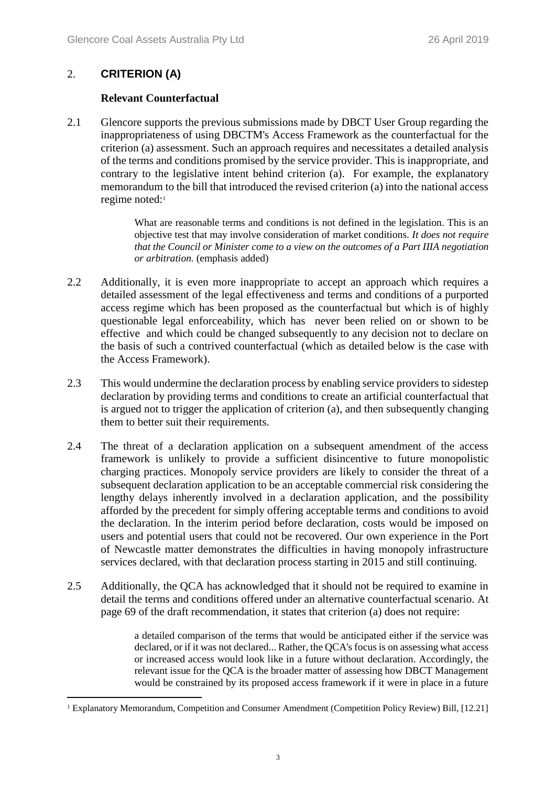#### 2. **CRITERION (A)**

1

#### **Relevant Counterfactual**

2.1 Glencore supports the previous submissions made by DBCT User Group regarding the inappropriateness of using DBCTM's Access Framework as the counterfactual for the criterion (a) assessment. Such an approach requires and necessitates a detailed analysis of the terms and conditions promised by the service provider. This is inappropriate, and contrary to the legislative intent behind criterion (a). For example, the explanatory memorandum to the bill that introduced the revised criterion (a) into the national access regime noted:<sup>1</sup>

> What are reasonable terms and conditions is not defined in the legislation. This is an objective test that may involve consideration of market conditions. *It does not require that the Council or Minister come to a view on the outcomes of a Part IIIA negotiation or arbitration.* (emphasis added)

- 2.2 Additionally, it is even more inappropriate to accept an approach which requires a detailed assessment of the legal effectiveness and terms and conditions of a purported access regime which has been proposed as the counterfactual but which is of highly questionable legal enforceability, which has never been relied on or shown to be effective and which could be changed subsequently to any decision not to declare on the basis of such a contrived counterfactual (which as detailed below is the case with the Access Framework).
- 2.3 This would undermine the declaration process by enabling service providers to sidestep declaration by providing terms and conditions to create an artificial counterfactual that is argued not to trigger the application of criterion (a), and then subsequently changing them to better suit their requirements.
- 2.4 The threat of a declaration application on a subsequent amendment of the access framework is unlikely to provide a sufficient disincentive to future monopolistic charging practices. Monopoly service providers are likely to consider the threat of a subsequent declaration application to be an acceptable commercial risk considering the lengthy delays inherently involved in a declaration application, and the possibility afforded by the precedent for simply offering acceptable terms and conditions to avoid the declaration. In the interim period before declaration, costs would be imposed on users and potential users that could not be recovered. Our own experience in the Port of Newcastle matter demonstrates the difficulties in having monopoly infrastructure services declared, with that declaration process starting in 2015 and still continuing.
- 2.5 Additionally, the QCA has acknowledged that it should not be required to examine in detail the terms and conditions offered under an alternative counterfactual scenario. At page 69 of the draft recommendation, it states that criterion (a) does not require:

a detailed comparison of the terms that would be anticipated either if the service was declared, or if it was not declared... Rather, the QCA's focus is on assessing what access or increased access would look like in a future without declaration. Accordingly, the relevant issue for the QCA is the broader matter of assessing how DBCT Management would be constrained by its proposed access framework if it were in place in a future

<sup>1</sup> Explanatory Memorandum, Competition and Consumer Amendment (Competition Policy Review) Bill, [12.21]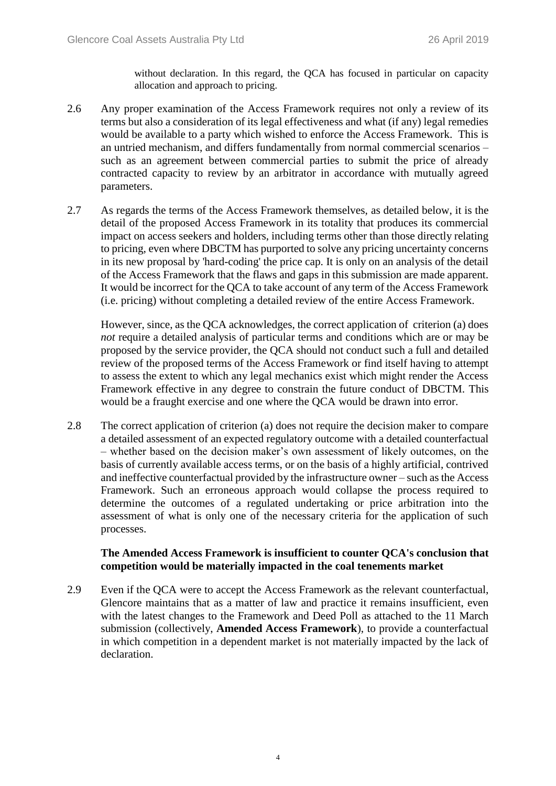without declaration. In this regard, the QCA has focused in particular on capacity allocation and approach to pricing.

- 2.6 Any proper examination of the Access Framework requires not only a review of its terms but also a consideration of its legal effectiveness and what (if any) legal remedies would be available to a party which wished to enforce the Access Framework. This is an untried mechanism, and differs fundamentally from normal commercial scenarios – such as an agreement between commercial parties to submit the price of already contracted capacity to review by an arbitrator in accordance with mutually agreed parameters.
- 2.7 As regards the terms of the Access Framework themselves, as detailed below, it is the detail of the proposed Access Framework in its totality that produces its commercial impact on access seekers and holders, including terms other than those directly relating to pricing, even where DBCTM has purported to solve any pricing uncertainty concerns in its new proposal by 'hard-coding' the price cap. It is only on an analysis of the detail of the Access Framework that the flaws and gaps in this submission are made apparent. It would be incorrect for the QCA to take account of any term of the Access Framework (i.e. pricing) without completing a detailed review of the entire Access Framework.

However, since, as the QCA acknowledges, the correct application of criterion (a) does *not* require a detailed analysis of particular terms and conditions which are or may be proposed by the service provider, the QCA should not conduct such a full and detailed review of the proposed terms of the Access Framework or find itself having to attempt to assess the extent to which any legal mechanics exist which might render the Access Framework effective in any degree to constrain the future conduct of DBCTM. This would be a fraught exercise and one where the QCA would be drawn into error.

2.8 The correct application of criterion (a) does not require the decision maker to compare a detailed assessment of an expected regulatory outcome with a detailed counterfactual – whether based on the decision maker's own assessment of likely outcomes, on the basis of currently available access terms, or on the basis of a highly artificial, contrived and ineffective counterfactual provided by the infrastructure owner – such as the Access Framework. Such an erroneous approach would collapse the process required to determine the outcomes of a regulated undertaking or price arbitration into the assessment of what is only one of the necessary criteria for the application of such processes.

#### **The Amended Access Framework is insufficient to counter QCA's conclusion that competition would be materially impacted in the coal tenements market**

2.9 Even if the QCA were to accept the Access Framework as the relevant counterfactual, Glencore maintains that as a matter of law and practice it remains insufficient, even with the latest changes to the Framework and Deed Poll as attached to the 11 March submission (collectively, **Amended Access Framework**), to provide a counterfactual in which competition in a dependent market is not materially impacted by the lack of declaration.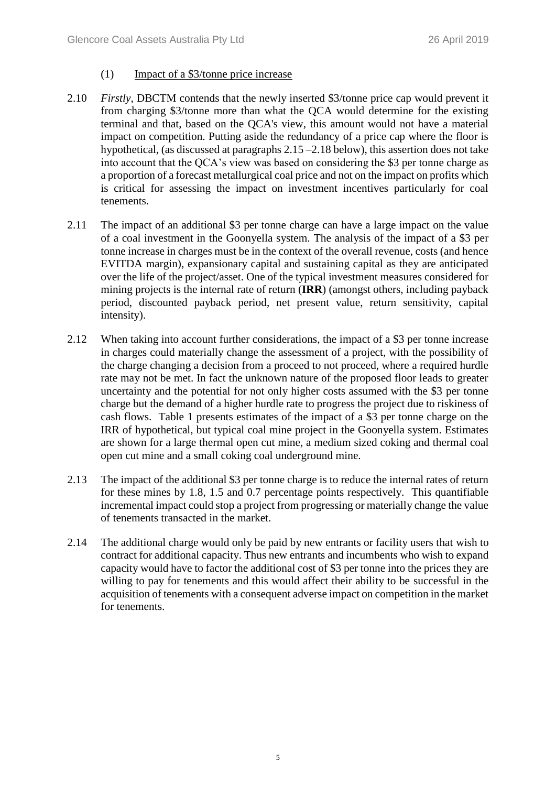#### (1) Impact of a \$3/tonne price increase

- 2.10 *Firstly*, DBCTM contends that the newly inserted \$3/tonne price cap would prevent it from charging \$3/tonne more than what the QCA would determine for the existing terminal and that, based on the QCA's view, this amount would not have a material impact on competition. Putting aside the redundancy of a price cap where the floor is hypothetical, (as discussed at paragraphs [2.15](#page-6-0) – 2.18 below), this assertion does not take into account that the QCA's view was based on considering the \$3 per tonne charge as a proportion of a forecast metallurgical coal price and not on the impact on profits which is critical for assessing the impact on investment incentives particularly for coal tenements.
- 2.11 The impact of an additional \$3 per tonne charge can have a large impact on the value of a coal investment in the Goonyella system. The analysis of the impact of a \$3 per tonne increase in charges must be in the context of the overall revenue, costs (and hence EVITDA margin), expansionary capital and sustaining capital as they are anticipated over the life of the project/asset. One of the typical investment measures considered for mining projects is the internal rate of return (**IRR**) (amongst others, including payback period, discounted payback period, net present value, return sensitivity, capital intensity).
- 2.12 When taking into account further considerations, the impact of a \$3 per tonne increase in charges could materially change the assessment of a project, with the possibility of the charge changing a decision from a proceed to not proceed, where a required hurdle rate may not be met. In fact the unknown nature of the proposed floor leads to greater uncertainty and the potential for not only higher costs assumed with the \$3 per tonne charge but the demand of a higher hurdle rate to progress the project due to riskiness of cash flows. Table 1 presents estimates of the impact of a \$3 per tonne charge on the IRR of hypothetical, but typical coal mine project in the Goonyella system. Estimates are shown for a large thermal open cut mine, a medium sized coking and thermal coal open cut mine and a small coking coal underground mine.
- 2.13 The impact of the additional \$3 per tonne charge is to reduce the internal rates of return for these mines by 1.8, 1.5 and 0.7 percentage points respectively. This quantifiable incremental impact could stop a project from progressing or materially change the value of tenements transacted in the market.
- 2.14 The additional charge would only be paid by new entrants or facility users that wish to contract for additional capacity. Thus new entrants and incumbents who wish to expand capacity would have to factor the additional cost of \$3 per tonne into the prices they are willing to pay for tenements and this would affect their ability to be successful in the acquisition of tenements with a consequent adverse impact on competition in the market for tenements.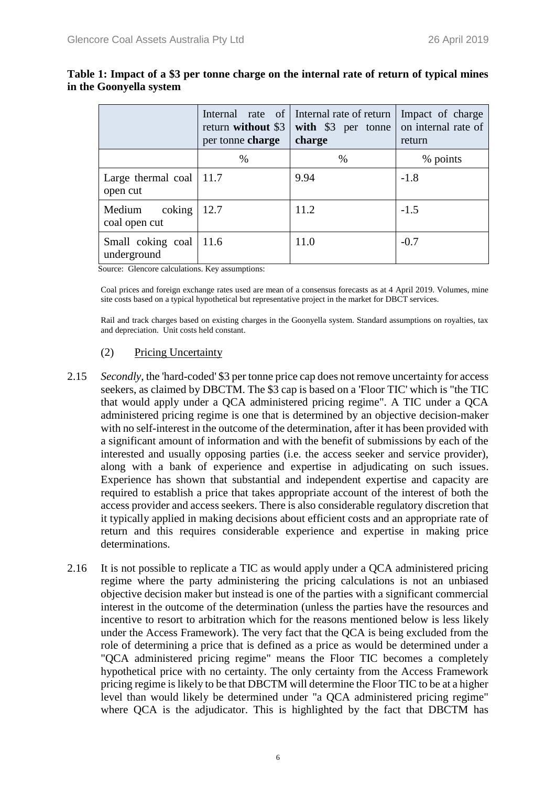|                                         | return without \$3<br>per tonne charge | Internal rate of Internal rate of return  <br>with \$3 per tonne<br>charge | Impact of charge<br>on internal rate of<br>return |
|-----------------------------------------|----------------------------------------|----------------------------------------------------------------------------|---------------------------------------------------|
|                                         | %                                      | $\%$                                                                       | % points                                          |
| Large thermal coal $ 11.7$<br>open cut  |                                        | 9.94                                                                       | $-1.8$                                            |
| Medium<br>coking<br>coal open cut       | 12.7                                   | 11.2                                                                       | $-1.5$                                            |
| Small coking coal   11.6<br>underground |                                        | 11.0                                                                       | $-0.7$                                            |

#### **Table 1: Impact of a \$3 per tonne charge on the internal rate of return of typical mines in the Goonyella system**

Source: Glencore calculations. Key assumptions:

Coal prices and foreign exchange rates used are mean of a consensus forecasts as at 4 April 2019. Volumes, mine site costs based on a typical hypothetical but representative project in the market for DBCT services.

Rail and track charges based on existing charges in the Goonyella system. Standard assumptions on royalties, tax and depreciation. Unit costs held constant.

#### (2) Pricing Uncertainty

- <span id="page-6-0"></span>2.15 *Secondly*, the 'hard-coded' \$3 per tonne price cap does not remove uncertainty for access seekers, as claimed by DBCTM. The \$3 cap is based on a 'Floor TIC' which is "the TIC that would apply under a QCA administered pricing regime". A TIC under a QCA administered pricing regime is one that is determined by an objective decision-maker with no self-interest in the outcome of the determination, after it has been provided with a significant amount of information and with the benefit of submissions by each of the interested and usually opposing parties (i.e. the access seeker and service provider), along with a bank of experience and expertise in adjudicating on such issues. Experience has shown that substantial and independent expertise and capacity are required to establish a price that takes appropriate account of the interest of both the access provider and access seekers. There is also considerable regulatory discretion that it typically applied in making decisions about efficient costs and an appropriate rate of return and this requires considerable experience and expertise in making price determinations.
- 2.16 It is not possible to replicate a TIC as would apply under a QCA administered pricing regime where the party administering the pricing calculations is not an unbiased objective decision maker but instead is one of the parties with a significant commercial interest in the outcome of the determination (unless the parties have the resources and incentive to resort to arbitration which for the reasons mentioned below is less likely under the Access Framework). The very fact that the QCA is being excluded from the role of determining a price that is defined as a price as would be determined under a "QCA administered pricing regime" means the Floor TIC becomes a completely hypothetical price with no certainty. The only certainty from the Access Framework pricing regime is likely to be that DBCTM will determine the Floor TIC to be at a higher level than would likely be determined under "a QCA administered pricing regime" where QCA is the adjudicator. This is highlighted by the fact that DBCTM has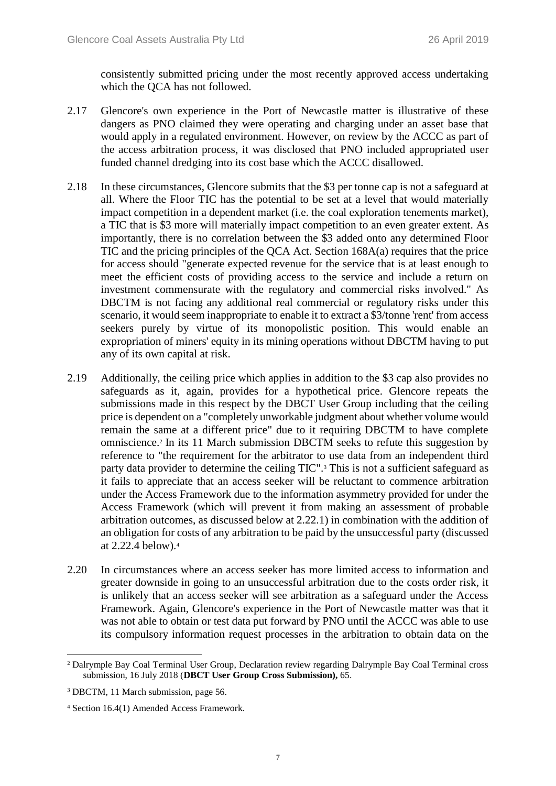consistently submitted pricing under the most recently approved access undertaking which the QCA has not followed.

- 2.17 Glencore's own experience in the Port of Newcastle matter is illustrative of these dangers as PNO claimed they were operating and charging under an asset base that would apply in a regulated environment. However, on review by the ACCC as part of the access arbitration process, it was disclosed that PNO included appropriated user funded channel dredging into its cost base which the ACCC disallowed.
- <span id="page-7-0"></span>2.18 In these circumstances, Glencore submits that the \$3 per tonne cap is not a safeguard at all. Where the Floor TIC has the potential to be set at a level that would materially impact competition in a dependent market (i.e. the coal exploration tenements market), a TIC that is \$3 more will materially impact competition to an even greater extent. As importantly, there is no correlation between the \$3 added onto any determined Floor TIC and the pricing principles of the QCA Act. Section 168A(a) requires that the price for access should "generate expected revenue for the service that is at least enough to meet the efficient costs of providing access to the service and include a return on investment commensurate with the regulatory and commercial risks involved." As DBCTM is not facing any additional real commercial or regulatory risks under this scenario, it would seem inappropriate to enable it to extract a \$3/tonne 'rent' from access seekers purely by virtue of its monopolistic position. This would enable an expropriation of miners' equity in its mining operations without DBCTM having to put any of its own capital at risk.
- 2.19 Additionally, the ceiling price which applies in addition to the \$3 cap also provides no safeguards as it, again, provides for a hypothetical price. Glencore repeats the submissions made in this respect by the DBCT User Group including that the ceiling price is dependent on a "completely unworkable judgment about whether volume would remain the same at a different price" due to it requiring DBCTM to have complete omniscience.<sup>2</sup> In its 11 March submission DBCTM seeks to refute this suggestion by reference to "the requirement for the arbitrator to use data from an independent third party data provider to determine the ceiling TIC".<sup>3</sup> This is not a sufficient safeguard as it fails to appreciate that an access seeker will be reluctant to commence arbitration under the Access Framework due to the information asymmetry provided for under the Access Framework (which will prevent it from making an assessment of probable arbitration outcomes, as discussed below at [2.22.1\)](#page-8-0) in combination with the addition of an obligation for costs of any arbitration to be paid by the unsuccessful party (discussed at [2.22.4](#page-10-0) below). 4
- 2.20 In circumstances where an access seeker has more limited access to information and greater downside in going to an unsuccessful arbitration due to the costs order risk, it is unlikely that an access seeker will see arbitration as a safeguard under the Access Framework. Again, Glencore's experience in the Port of Newcastle matter was that it was not able to obtain or test data put forward by PNO until the ACCC was able to use its compulsory information request processes in the arbitration to obtain data on the

<sup>2</sup> Dalrymple Bay Coal Terminal User Group, Declaration review regarding Dalrymple Bay Coal Terminal cross submission, 16 July 2018 (**DBCT User Group Cross Submission),** 65.

<sup>3</sup> DBCTM, 11 March submission, page 56.

<sup>4</sup> Section 16.4(1) Amended Access Framework.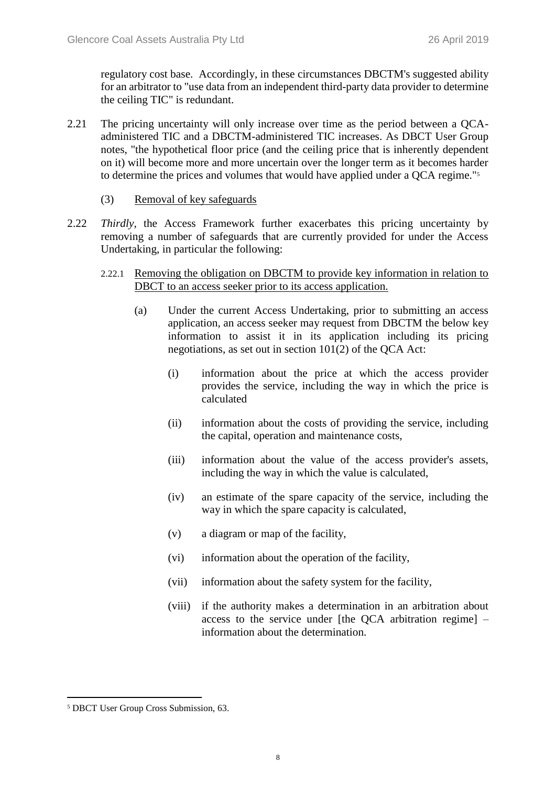regulatory cost base. Accordingly, in these circumstances DBCTM's suggested ability for an arbitrator to "use data from an independent third-party data provider to determine the ceiling TIC" is redundant.

- 2.21 The pricing uncertainty will only increase over time as the period between a QCAadministered TIC and a DBCTM-administered TIC increases. As DBCT User Group notes, "the hypothetical floor price (and the ceiling price that is inherently dependent on it) will become more and more uncertain over the longer term as it becomes harder to determine the prices and volumes that would have applied under a QCA regime."<sup>5</sup>
	- (3) Removal of key safeguards
- <span id="page-8-0"></span>2.22 *Thirdly*, the Access Framework further exacerbates this pricing uncertainty by removing a number of safeguards that are currently provided for under the Access Undertaking, in particular the following:
	- 2.22.1 Removing the obligation on DBCTM to provide key information in relation to DBCT to an access seeker prior to its access application.
		- (a) Under the current Access Undertaking, prior to submitting an access application, an access seeker may request from DBCTM the below key information to assist it in its application including its pricing negotiations, as set out in section 101(2) of the QCA Act:
			- (i) information about the price at which the access provider provides the service, including the way in which the price is calculated
			- (ii) information about the costs of providing the service, including the capital, operation and maintenance costs,
			- (iii) information about the value of the access provider's assets, including the way in which the value is calculated,
			- (iv) an estimate of the spare capacity of the service, including the way in which the spare capacity is calculated,
			- (v) a diagram or map of the facility,
			- (vi) information about the operation of the facility,
			- (vii) information about the safety system for the facility,
			- (viii) if the authority makes a determination in an arbitration about access to the service under [the QCA arbitration regime] – information about the determination.

<sup>5</sup> DBCT User Group Cross Submission, 63.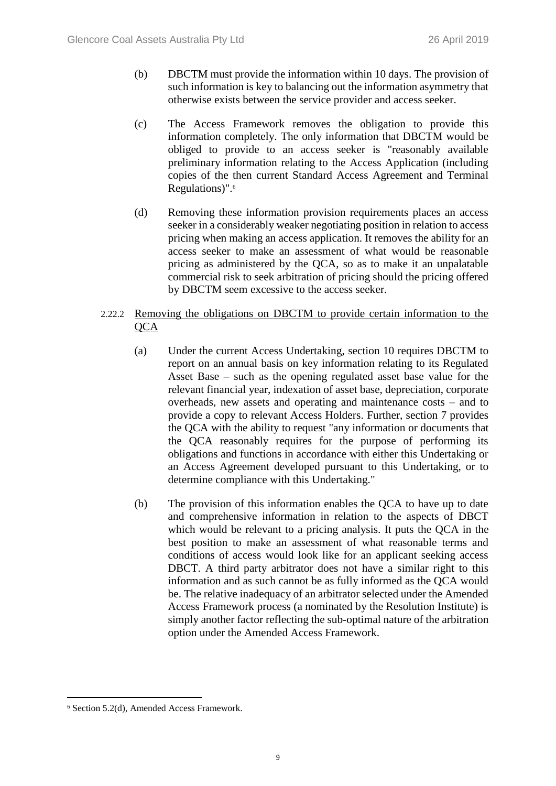- (b) DBCTM must provide the information within 10 days. The provision of such information is key to balancing out the information asymmetry that otherwise exists between the service provider and access seeker.
- (c) The Access Framework removes the obligation to provide this information completely. The only information that DBCTM would be obliged to provide to an access seeker is "reasonably available preliminary information relating to the Access Application (including copies of the then current Standard Access Agreement and Terminal Regulations)".<sup>6</sup>
- (d) Removing these information provision requirements places an access seeker in a considerably weaker negotiating position in relation to access pricing when making an access application. It removes the ability for an access seeker to make an assessment of what would be reasonable pricing as administered by the QCA, so as to make it an unpalatable commercial risk to seek arbitration of pricing should the pricing offered by DBCTM seem excessive to the access seeker.
- 2.22.2 Removing the obligations on DBCTM to provide certain information to the **OCA** 
	- (a) Under the current Access Undertaking, section 10 requires DBCTM to report on an annual basis on key information relating to its Regulated Asset Base – such as the opening regulated asset base value for the relevant financial year, indexation of asset base, depreciation, corporate overheads, new assets and operating and maintenance costs – and to provide a copy to relevant Access Holders. Further, section 7 provides the QCA with the ability to request "any information or documents that the QCA reasonably requires for the purpose of performing its obligations and functions in accordance with either this Undertaking or an Access Agreement developed pursuant to this Undertaking, or to determine compliance with this Undertaking."
	- (b) The provision of this information enables the QCA to have up to date and comprehensive information in relation to the aspects of DBCT which would be relevant to a pricing analysis. It puts the QCA in the best position to make an assessment of what reasonable terms and conditions of access would look like for an applicant seeking access DBCT. A third party arbitrator does not have a similar right to this information and as such cannot be as fully informed as the QCA would be. The relative inadequacy of an arbitrator selected under the Amended Access Framework process (a nominated by the Resolution Institute) is simply another factor reflecting the sub-optimal nature of the arbitration option under the Amended Access Framework.

<sup>6</sup> Section 5.2(d), Amended Access Framework.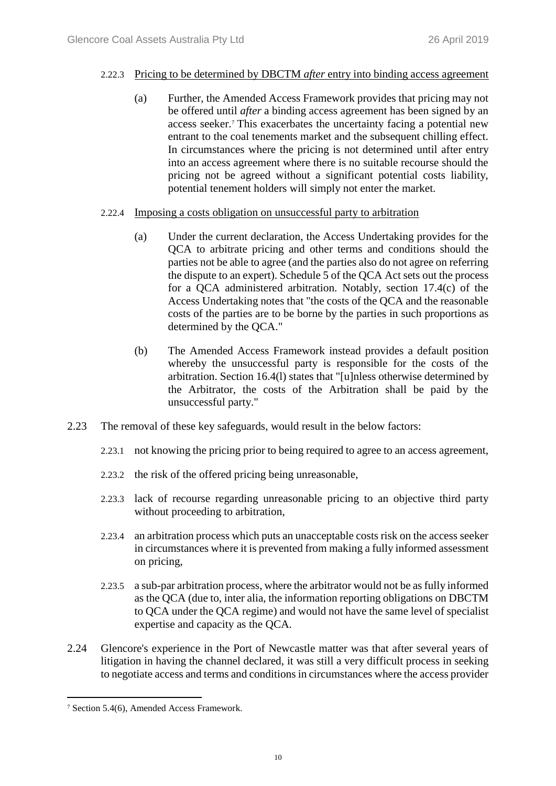#### 2.22.3 Pricing to be determined by DBCTM *after* entry into binding access agreement

- (a) Further, the Amended Access Framework provides that pricing may not be offered until *after* a binding access agreement has been signed by an access seeker.<sup>7</sup> This exacerbates the uncertainty facing a potential new entrant to the coal tenements market and the subsequent chilling effect. In circumstances where the pricing is not determined until after entry into an access agreement where there is no suitable recourse should the pricing not be agreed without a significant potential costs liability, potential tenement holders will simply not enter the market.
- <span id="page-10-0"></span>2.22.4 Imposing a costs obligation on unsuccessful party to arbitration
	- (a) Under the current declaration, the Access Undertaking provides for the QCA to arbitrate pricing and other terms and conditions should the parties not be able to agree (and the parties also do not agree on referring the dispute to an expert). Schedule 5 of the QCA Act sets out the process for a QCA administered arbitration. Notably, section 17.4(c) of the Access Undertaking notes that "the costs of the QCA and the reasonable costs of the parties are to be borne by the parties in such proportions as determined by the QCA."
	- (b) The Amended Access Framework instead provides a default position whereby the unsuccessful party is responsible for the costs of the arbitration. Section 16.4(l) states that "[u]nless otherwise determined by the Arbitrator, the costs of the Arbitration shall be paid by the unsuccessful party."
- 2.23 The removal of these key safeguards, would result in the below factors:
	- 2.23.1 not knowing the pricing prior to being required to agree to an access agreement,
	- 2.23.2 the risk of the offered pricing being unreasonable,
	- 2.23.3 lack of recourse regarding unreasonable pricing to an objective third party without proceeding to arbitration,
	- 2.23.4 an arbitration process which puts an unacceptable costs risk on the access seeker in circumstances where it is prevented from making a fully informed assessment on pricing,
	- 2.23.5 a sub-par arbitration process, where the arbitrator would not be as fully informed as the QCA (due to, inter alia, the information reporting obligations on DBCTM to QCA under the QCA regime) and would not have the same level of specialist expertise and capacity as the QCA.
- 2.24 Glencore's experience in the Port of Newcastle matter was that after several years of litigation in having the channel declared, it was still a very difficult process in seeking to negotiate access and terms and conditions in circumstances where the access provider

<sup>7</sup> Section 5.4(6), Amended Access Framework.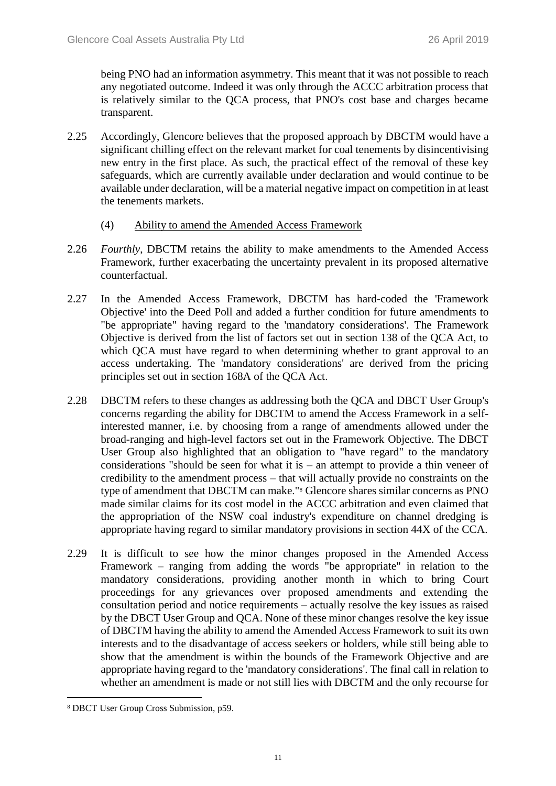being PNO had an information asymmetry. This meant that it was not possible to reach any negotiated outcome. Indeed it was only through the ACCC arbitration process that is relatively similar to the QCA process, that PNO's cost base and charges became transparent.

- 2.25 Accordingly, Glencore believes that the proposed approach by DBCTM would have a significant chilling effect on the relevant market for coal tenements by disincentivising new entry in the first place. As such, the practical effect of the removal of these key safeguards, which are currently available under declaration and would continue to be available under declaration, will be a material negative impact on competition in at least the tenements markets.
	- (4) Ability to amend the Amended Access Framework
- 2.26 *Fourthly*, DBCTM retains the ability to make amendments to the Amended Access Framework, further exacerbating the uncertainty prevalent in its proposed alternative counterfactual.
- 2.27 In the Amended Access Framework, DBCTM has hard-coded the 'Framework Objective' into the Deed Poll and added a further condition for future amendments to "be appropriate" having regard to the 'mandatory considerations'. The Framework Objective is derived from the list of factors set out in section 138 of the QCA Act, to which QCA must have regard to when determining whether to grant approval to an access undertaking. The 'mandatory considerations' are derived from the pricing principles set out in section 168A of the QCA Act.
- 2.28 DBCTM refers to these changes as addressing both the QCA and DBCT User Group's concerns regarding the ability for DBCTM to amend the Access Framework in a selfinterested manner, i.e. by choosing from a range of amendments allowed under the broad-ranging and high-level factors set out in the Framework Objective. The DBCT User Group also highlighted that an obligation to "have regard" to the mandatory considerations "should be seen for what it is – an attempt to provide a thin veneer of credibility to the amendment process – that will actually provide no constraints on the type of amendment that DBCTM can make."<sup>8</sup> Glencore shares similar concerns as PNO made similar claims for its cost model in the ACCC arbitration and even claimed that the appropriation of the NSW coal industry's expenditure on channel dredging is appropriate having regard to similar mandatory provisions in section 44X of the CCA.
- 2.29 It is difficult to see how the minor changes proposed in the Amended Access Framework – ranging from adding the words "be appropriate" in relation to the mandatory considerations, providing another month in which to bring Court proceedings for any grievances over proposed amendments and extending the consultation period and notice requirements – actually resolve the key issues as raised by the DBCT User Group and QCA. None of these minor changes resolve the key issue of DBCTM having the ability to amend the Amended Access Framework to suit its own interests and to the disadvantage of access seekers or holders, while still being able to show that the amendment is within the bounds of the Framework Objective and are appropriate having regard to the 'mandatory considerations'. The final call in relation to whether an amendment is made or not still lies with DBCTM and the only recourse for

<sup>8</sup> DBCT User Group Cross Submission, p59.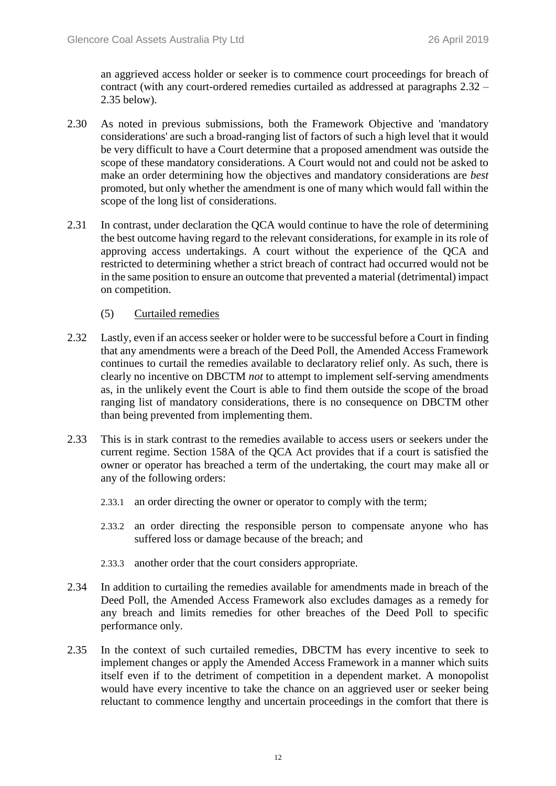an aggrieved access holder or seeker is to commence court proceedings for breach of contract (with any court-ordered remedies curtailed as addressed at paragraphs [2.32](#page-12-0) – [2.35](#page-12-1) below).

- 2.30 As noted in previous submissions, both the Framework Objective and 'mandatory considerations' are such a broad-ranging list of factors of such a high level that it would be very difficult to have a Court determine that a proposed amendment was outside the scope of these mandatory considerations. A Court would not and could not be asked to make an order determining how the objectives and mandatory considerations are *best* promoted, but only whether the amendment is one of many which would fall within the scope of the long list of considerations.
- 2.31 In contrast, under declaration the QCA would continue to have the role of determining the best outcome having regard to the relevant considerations, for example in its role of approving access undertakings. A court without the experience of the QCA and restricted to determining whether a strict breach of contract had occurred would not be in the same position to ensure an outcome that prevented a material (detrimental) impact on competition.
	- (5) Curtailed remedies
- <span id="page-12-0"></span>2.32 Lastly, even if an access seeker or holder were to be successful before a Court in finding that any amendments were a breach of the Deed Poll, the Amended Access Framework continues to curtail the remedies available to declaratory relief only. As such, there is clearly no incentive on DBCTM *not* to attempt to implement self-serving amendments as, in the unlikely event the Court is able to find them outside the scope of the broad ranging list of mandatory considerations, there is no consequence on DBCTM other than being prevented from implementing them.
- 2.33 This is in stark contrast to the remedies available to access users or seekers under the current regime. Section 158A of the QCA Act provides that if a court is satisfied the owner or operator has breached a term of the undertaking, the court may make all or any of the following orders:
	- 2.33.1 an order directing the owner or operator to comply with the term;
	- 2.33.2 an order directing the responsible person to compensate anyone who has suffered loss or damage because of the breach; and
	- 2.33.3 another order that the court considers appropriate.
- 2.34 In addition to curtailing the remedies available for amendments made in breach of the Deed Poll, the Amended Access Framework also excludes damages as a remedy for any breach and limits remedies for other breaches of the Deed Poll to specific performance only.
- <span id="page-12-1"></span>2.35 In the context of such curtailed remedies, DBCTM has every incentive to seek to implement changes or apply the Amended Access Framework in a manner which suits itself even if to the detriment of competition in a dependent market. A monopolist would have every incentive to take the chance on an aggrieved user or seeker being reluctant to commence lengthy and uncertain proceedings in the comfort that there is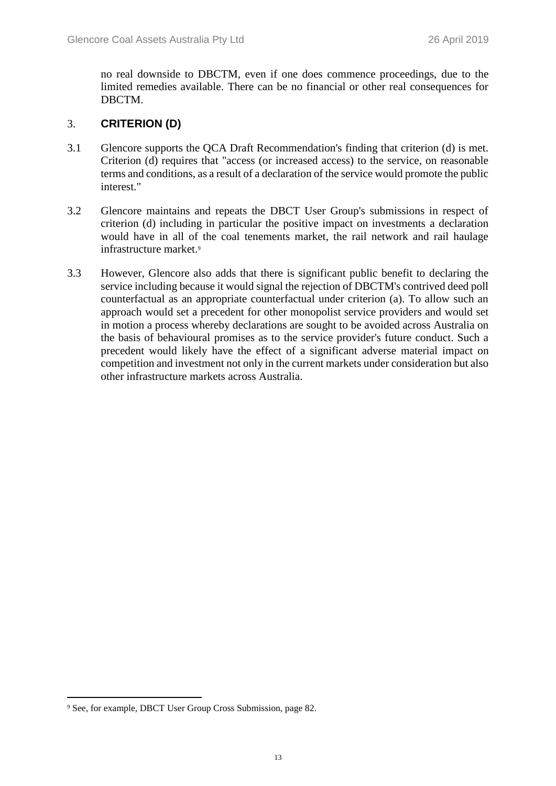no real downside to DBCTM, even if one does commence proceedings, due to the limited remedies available. There can be no financial or other real consequences for DBCTM.

#### 3. **CRITERION (D)**

- 3.1 Glencore supports the QCA Draft Recommendation's finding that criterion (d) is met. Criterion (d) requires that "access (or increased access) to the service, on reasonable terms and conditions, as a result of a declaration of the service would promote the public interest."
- 3.2 Glencore maintains and repeats the DBCT User Group's submissions in respect of criterion (d) including in particular the positive impact on investments a declaration would have in all of the coal tenements market, the rail network and rail haulage infrastructure market.<sup>9</sup>
- 3.3 However, Glencore also adds that there is significant public benefit to declaring the service including because it would signal the rejection of DBCTM's contrived deed poll counterfactual as an appropriate counterfactual under criterion (a). To allow such an approach would set a precedent for other monopolist service providers and would set in motion a process whereby declarations are sought to be avoided across Australia on the basis of behavioural promises as to the service provider's future conduct. Such a precedent would likely have the effect of a significant adverse material impact on competition and investment not only in the current markets under consideration but also other infrastructure markets across Australia.

<sup>9</sup> See, for example, DBCT User Group Cross Submission, page 82.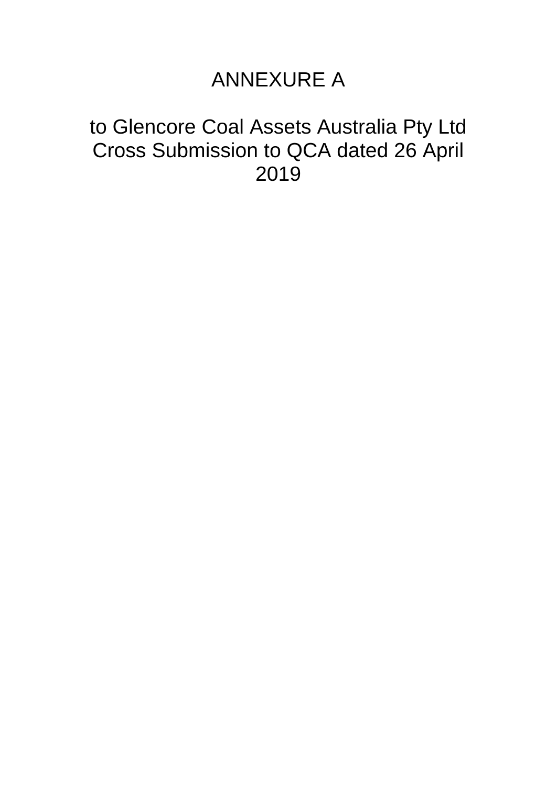## ANNEXURE A

## to Glencore Coal Assets Australia Pty Ltd Cross Submission to QCA dated 26 April 2019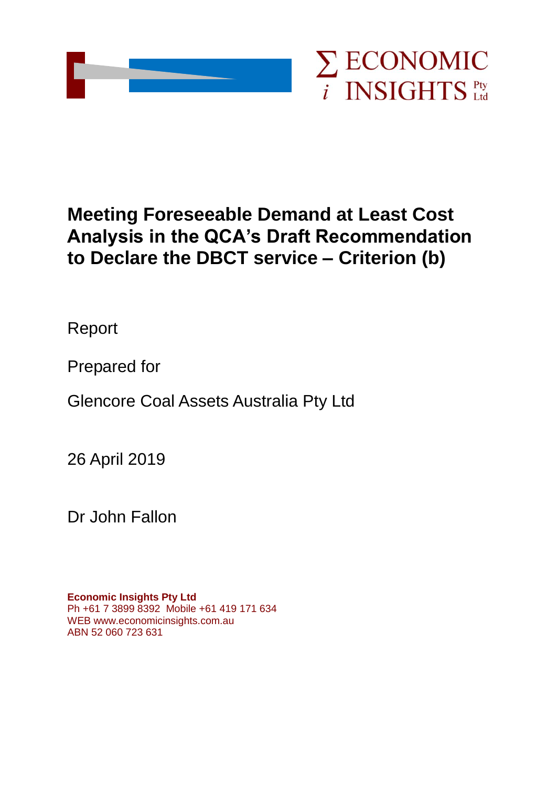

## **Meeting Foreseeable Demand at Least Cost Analysis in the QCA's Draft Recommendation to Declare the DBCT service – Criterion (b)**

Report

Prepared for

Glencore Coal Assets Australia Pty Ltd

26 April 2019

Dr John Fallon

**Economic Insights Pty Ltd** Ph +61 7 3899 8392 Mobile +61 419 171 634 WEB www.economicinsights.com.au ABN 52 060 723 631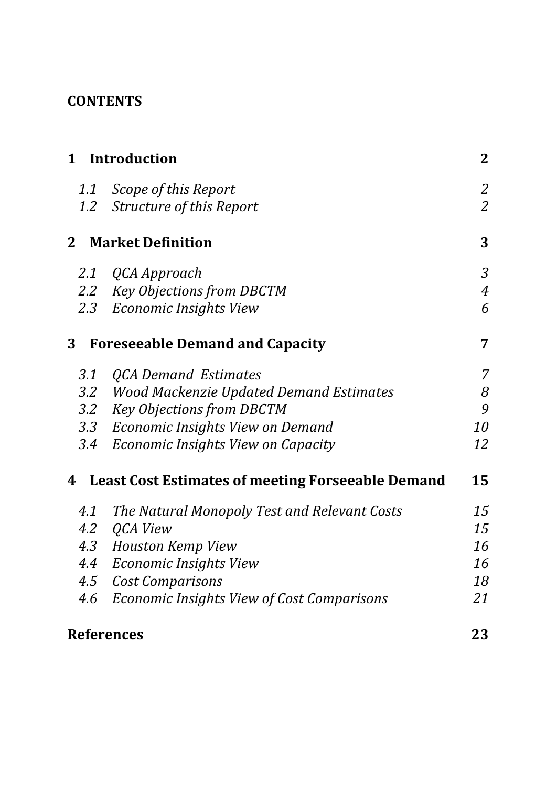## **CONTENTS**

|                | 1 Introduction                                           | $\mathbf{2}$   |
|----------------|----------------------------------------------------------|----------------|
|                | 1.1 Scope of this Report                                 | $\mathfrak{2}$ |
| $1.2\,$        | Structure of this Report                                 | $\overline{2}$ |
| 2 <sub>1</sub> | <b>Market Definition</b>                                 | 3              |
|                | 2.1 QCA Approach                                         | $\mathfrak{Z}$ |
|                | 2.2 Key Objections from DBCTM                            | $\overline{4}$ |
|                | 2.3 Economic Insights View                               | 6              |
| 3              | <b>Foreseeable Demand and Capacity</b>                   | 7              |
| 3.1            | <b>QCA Demand Estimates</b>                              | $\overline{7}$ |
| $3.2\,$        | <b>Wood Mackenzie Updated Demand Estimates</b>           | 8              |
| $3.2\,$        | <b>Key Objections from DBCTM</b>                         | 9              |
|                | 3.3 Economic Insights View on Demand                     | <i>10</i>      |
| 3.4            | Economic Insights View on Capacity                       | 12             |
| 4              | <b>Least Cost Estimates of meeting Forseeable Demand</b> | 15             |
| 4.1            | The Natural Monopoly Test and Relevant Costs             | 15             |
| 4.2            | QCA View                                                 | 15             |
|                | 4.3 Houston Kemp View                                    | 16             |
| 4.4            | <b>Economic Insights View</b>                            | 16             |
| 4.5            | <b>Cost Comparisons</b>                                  | 18             |
| 4.6            | Economic Insights View of Cost Comparisons               | 21             |
|                | <b>References</b>                                        | 23             |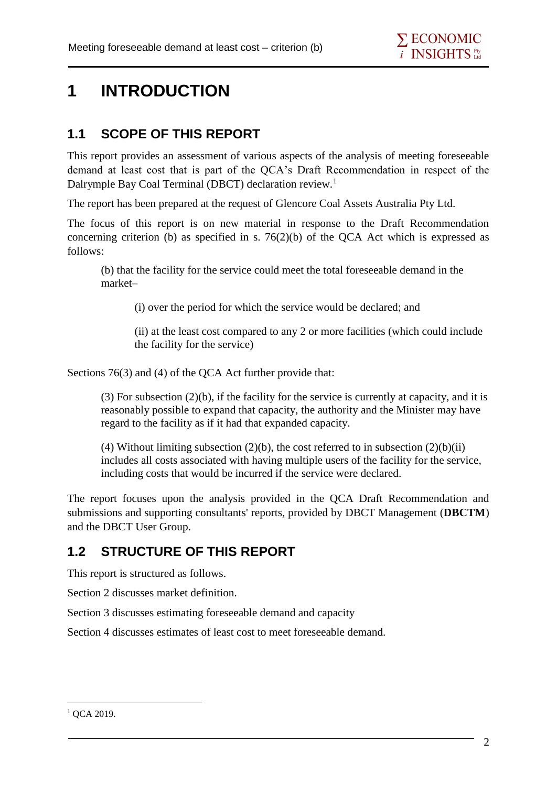## **1 INTRODUCTION**

## **1.1 SCOPE OF THIS REPORT**

This report provides an assessment of various aspects of the analysis of meeting foreseeable demand at least cost that is part of the QCA's Draft Recommendation in respect of the Dalrymple Bay Coal Terminal (DBCT) declaration review.<sup>1</sup>

The report has been prepared at the request of Glencore Coal Assets Australia Pty Ltd.

The focus of this report is on new material in response to the Draft Recommendation concerning criterion (b) as specified in s.  $76(2)(b)$  of the QCA Act which is expressed as follows:

(b) that the facility for the service could meet the total foreseeable demand in the market–

(i) over the period for which the service would be declared; and

(ii) at the least cost compared to any 2 or more facilities (which could include the facility for the service)

Sections 76(3) and (4) of the QCA Act further provide that:

(3) For subsection (2)(b), if the facility for the service is currently at capacity, and it is reasonably possible to expand that capacity, the authority and the Minister may have regard to the facility as if it had that expanded capacity.

(4) Without limiting subsection  $(2)(b)$ , the cost referred to in subsection  $(2)(b)(ii)$ includes all costs associated with having multiple users of the facility for the service, including costs that would be incurred if the service were declared.

The report focuses upon the analysis provided in the QCA Draft Recommendation and submissions and supporting consultants' reports, provided by DBCT Management (**DBCTM**) and the DBCT User Group.

## **1.2 STRUCTURE OF THIS REPORT**

This report is structured as follows.

Section 2 discusses market definition.

Section 3 discusses estimating foreseeable demand and capacity

Section 4 discusses estimates of least cost to meet foreseeable demand.

<sup>1</sup> <sup>1</sup> QCA 2019.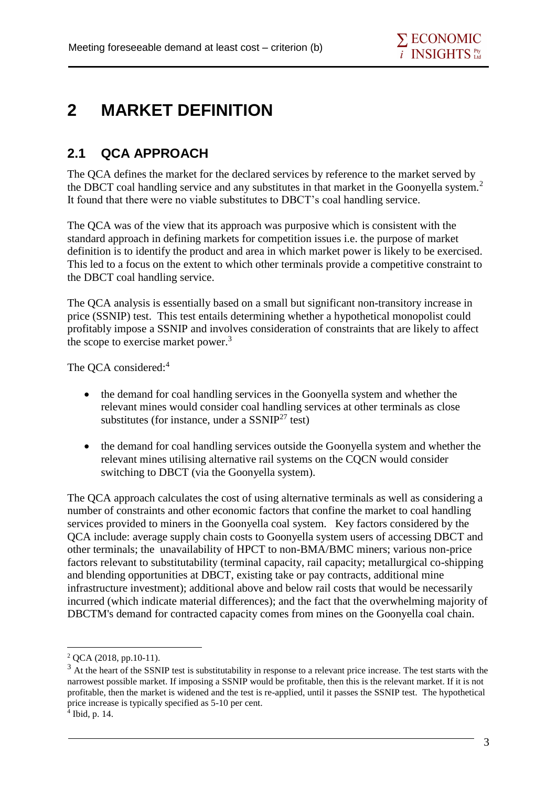## **2 MARKET DEFINITION**

## **2.1 QCA APPROACH**

The QCA defines the market for the declared services by reference to the market served by the DBCT coal handling service and any substitutes in that market in the Goonyella system.<sup>2</sup> It found that there were no viable substitutes to DBCT's coal handling service.

The QCA was of the view that its approach was purposive which is consistent with the standard approach in defining markets for competition issues i.e. the purpose of market definition is to identify the product and area in which market power is likely to be exercised. This led to a focus on the extent to which other terminals provide a competitive constraint to the DBCT coal handling service.

The QCA analysis is essentially based on a small but significant non-transitory increase in price (SSNIP) test. This test entails determining whether a hypothetical monopolist could profitably impose a SSNIP and involves consideration of constraints that are likely to affect the scope to exercise market power.<sup>3</sup>

The OCA considered:<sup>4</sup>

- the demand for coal handling services in the Goonyella system and whether the relevant mines would consider coal handling services at other terminals as close substitutes (for instance, under a  $SSNIP<sup>27</sup>$  test)
- the demand for coal handling services outside the Goonyella system and whether the relevant mines utilising alternative rail systems on the CQCN would consider switching to DBCT (via the Goonyella system).

The QCA approach calculates the cost of using alternative terminals as well as considering a number of constraints and other economic factors that confine the market to coal handling services provided to miners in the Goonyella coal system. Key factors considered by the QCA include: average supply chain costs to Goonyella system users of accessing DBCT and other terminals; the unavailability of HPCT to non-BMA/BMC miners; various non-price factors relevant to substitutability (terminal capacity, rail capacity; metallurgical co-shipping and blending opportunities at DBCT, existing take or pay contracts, additional mine infrastructure investment); additional above and below rail costs that would be necessarily incurred (which indicate material differences); and the fact that the overwhelming majority of DBCTM's demand for contracted capacity comes from mines on the Goonyella coal chain.

<sup>2</sup> QCA (2018, pp.10-11).

 $3$  At the heart of the SSNIP test is substitutability in response to a relevant price increase. The test starts with the narrowest possible market. If imposing a SSNIP would be profitable, then this is the relevant market. If it is not profitable, then the market is widened and the test is re-applied, until it passes the SSNIP test. The hypothetical price increase is typically specified as 5-10 per cent. 4 Ibid, p. 14.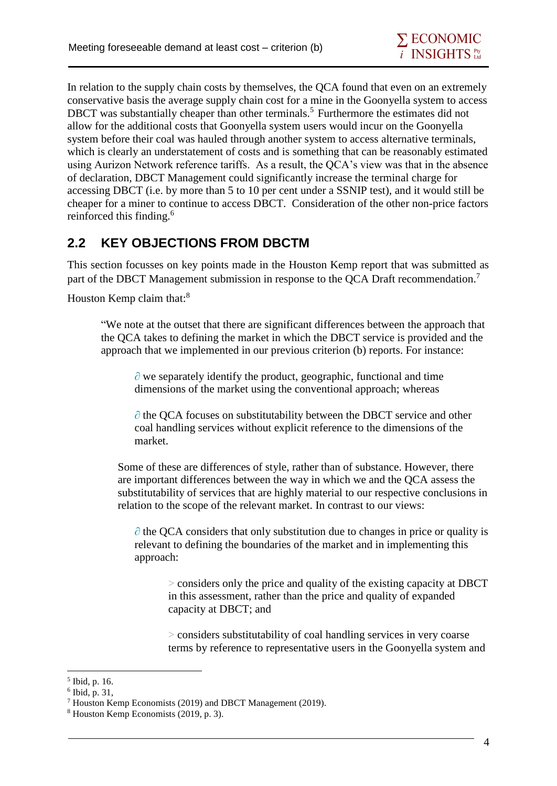In relation to the supply chain costs by themselves, the QCA found that even on an extremely conservative basis the average supply chain cost for a mine in the Goonyella system to access DBCT was substantially cheaper than other terminals.<sup>5</sup> Furthermore the estimates did not allow for the additional costs that Goonyella system users would incur on the Goonyella system before their coal was hauled through another system to access alternative terminals, which is clearly an understatement of costs and is something that can be reasonably estimated using Aurizon Network reference tariffs. As a result, the QCA's view was that in the absence of declaration, DBCT Management could significantly increase the terminal charge for accessing DBCT (i.e. by more than 5 to 10 per cent under a SSNIP test), and it would still be cheaper for a miner to continue to access DBCT. Consideration of the other non-price factors reinforced this finding.<sup>6</sup>

### **2.2 KEY OBJECTIONS FROM DBCTM**

This section focusses on key points made in the Houston Kemp report that was submitted as part of the DBCT Management submission in response to the QCA Draft recommendation.<sup>7</sup>

Houston Kemp claim that:<sup>8</sup>

"We note at the outset that there are significant differences between the approach that the QCA takes to defining the market in which the DBCT service is provided and the approach that we implemented in our previous criterion (b) reports. For instance:

 $\partial$  we separately identify the product, geographic, functional and time dimensions of the market using the conventional approach; whereas

∂ the QCA focuses on substitutability between the DBCT service and other coal handling services without explicit reference to the dimensions of the market.

Some of these are differences of style, rather than of substance. However, there are important differences between the way in which we and the QCA assess the substitutability of services that are highly material to our respective conclusions in relation to the scope of the relevant market. In contrast to our views:

 $\partial$  the QCA considers that only substitution due to changes in price or quality is relevant to defining the boundaries of the market and in implementing this approach:

> considers only the price and quality of the existing capacity at DBCT in this assessment, rather than the price and quality of expanded capacity at DBCT; and

> considers substitutability of coal handling services in very coarse terms by reference to representative users in the Goonyella system and

<sup>5</sup> Ibid, p. 16.

<sup>6</sup> Ibid, p. 31,

<sup>7</sup> Houston Kemp Economists (2019) and DBCT Management (2019).

<sup>8</sup> Houston Kemp Economists (2019, p. 3).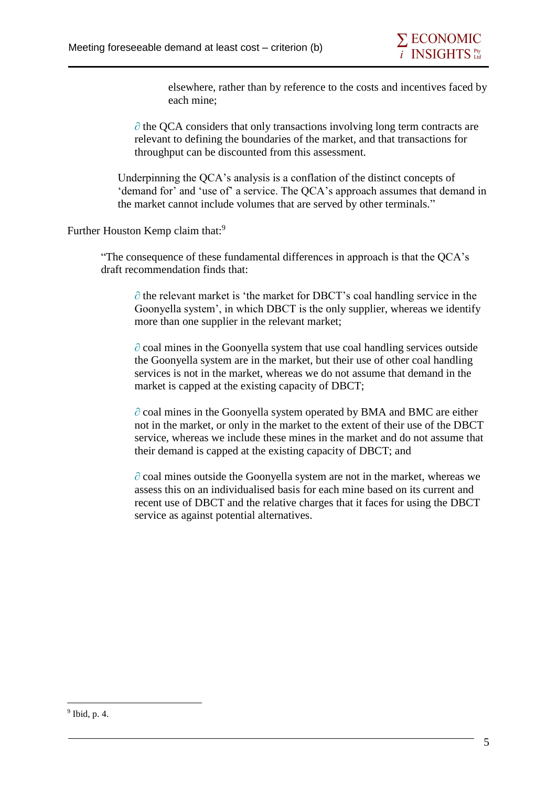elsewhere, rather than by reference to the costs and incentives faced by each mine;

∂ the QCA considers that only transactions involving long term contracts are relevant to defining the boundaries of the market, and that transactions for throughput can be discounted from this assessment.

Underpinning the QCA's analysis is a conflation of the distinct concepts of 'demand for' and 'use of' a service. The QCA's approach assumes that demand in the market cannot include volumes that are served by other terminals."

Further Houston Kemp claim that:<sup>9</sup>

"The consequence of these fundamental differences in approach is that the QCA's draft recommendation finds that:

∂ the relevant market is 'the market for DBCT's coal handling service in the Goonyella system', in which DBCT is the only supplier, whereas we identify more than one supplier in the relevant market;

∂ coal mines in the Goonyella system that use coal handling services outside the Goonyella system are in the market, but their use of other coal handling services is not in the market, whereas we do not assume that demand in the market is capped at the existing capacity of DBCT;

∂ coal mines in the Goonyella system operated by BMA and BMC are either not in the market, or only in the market to the extent of their use of the DBCT service, whereas we include these mines in the market and do not assume that their demand is capped at the existing capacity of DBCT; and

∂ coal mines outside the Goonyella system are not in the market, whereas we assess this on an individualised basis for each mine based on its current and recent use of DBCT and the relative charges that it faces for using the DBCT service as against potential alternatives.

<sup>9</sup> Ibid, p. 4.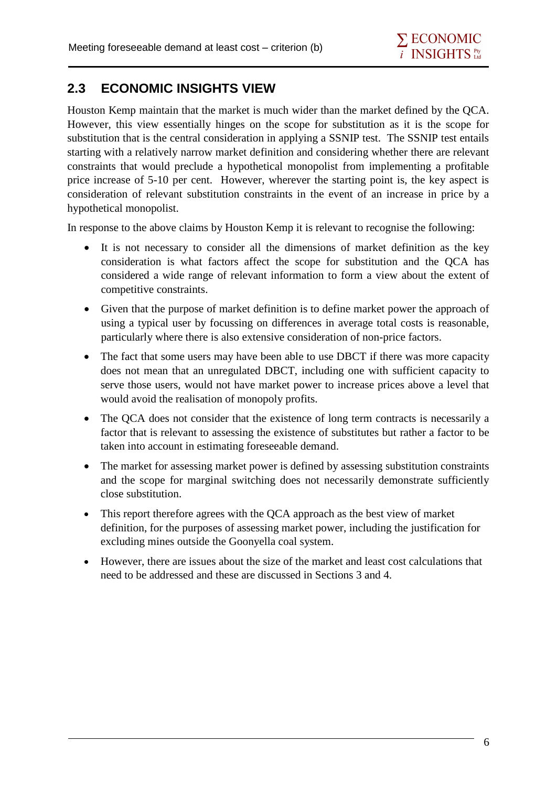## **2.3 ECONOMIC INSIGHTS VIEW**

Houston Kemp maintain that the market is much wider than the market defined by the QCA. However, this view essentially hinges on the scope for substitution as it is the scope for substitution that is the central consideration in applying a SSNIP test. The SSNIP test entails starting with a relatively narrow market definition and considering whether there are relevant constraints that would preclude a hypothetical monopolist from implementing a profitable price increase of 5-10 per cent. However, wherever the starting point is, the key aspect is consideration of relevant substitution constraints in the event of an increase in price by a hypothetical monopolist.

In response to the above claims by Houston Kemp it is relevant to recognise the following:

- It is not necessary to consider all the dimensions of market definition as the key consideration is what factors affect the scope for substitution and the QCA has considered a wide range of relevant information to form a view about the extent of competitive constraints.
- Given that the purpose of market definition is to define market power the approach of using a typical user by focussing on differences in average total costs is reasonable, particularly where there is also extensive consideration of non-price factors.
- The fact that some users may have been able to use DBCT if there was more capacity does not mean that an unregulated DBCT, including one with sufficient capacity to serve those users, would not have market power to increase prices above a level that would avoid the realisation of monopoly profits.
- The QCA does not consider that the existence of long term contracts is necessarily a factor that is relevant to assessing the existence of substitutes but rather a factor to be taken into account in estimating foreseeable demand.
- The market for assessing market power is defined by assessing substitution constraints and the scope for marginal switching does not necessarily demonstrate sufficiently close substitution.
- This report therefore agrees with the QCA approach as the best view of market definition, for the purposes of assessing market power, including the justification for excluding mines outside the Goonyella coal system.
- However, there are issues about the size of the market and least cost calculations that need to be addressed and these are discussed in Sections 3 and 4.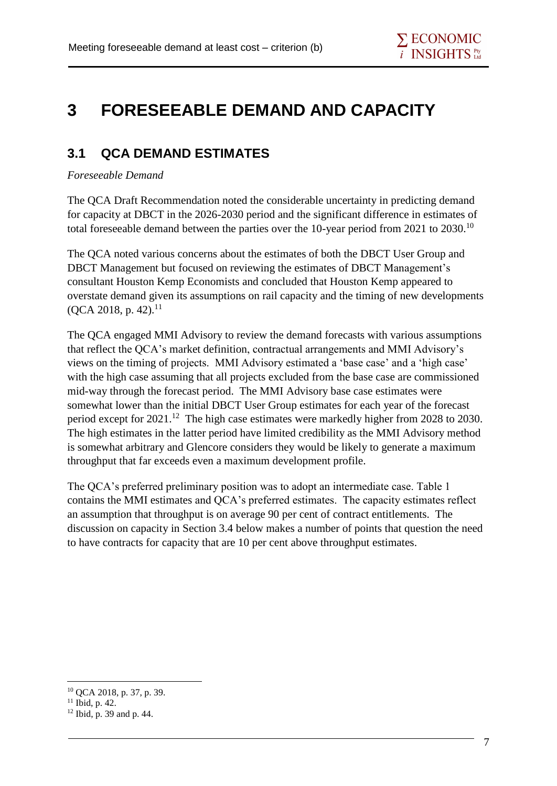## **3 FORESEEABLE DEMAND AND CAPACITY**

### **3.1 QCA DEMAND ESTIMATES**

#### *Foreseeable Demand*

The QCA Draft Recommendation noted the considerable uncertainty in predicting demand for capacity at DBCT in the 2026-2030 period and the significant difference in estimates of total foreseeable demand between the parties over the 10-year period from 2021 to 2030.<sup>10</sup>

The QCA noted various concerns about the estimates of both the DBCT User Group and DBCT Management but focused on reviewing the estimates of DBCT Management's consultant Houston Kemp Economists and concluded that Houston Kemp appeared to overstate demand given its assumptions on rail capacity and the timing of new developments  $(QCA 2018, p. 42).$ <sup>11</sup>

The QCA engaged MMI Advisory to review the demand forecasts with various assumptions that reflect the QCA's market definition, contractual arrangements and MMI Advisory's views on the timing of projects. MMI Advisory estimated a 'base case' and a 'high case' with the high case assuming that all projects excluded from the base case are commissioned mid-way through the forecast period. The MMI Advisory base case estimates were somewhat lower than the initial DBCT User Group estimates for each year of the forecast period except for 2021.<sup>12</sup> The high case estimates were markedly higher from 2028 to 2030. The high estimates in the latter period have limited credibility as the MMI Advisory method is somewhat arbitrary and Glencore considers they would be likely to generate a maximum throughput that far exceeds even a maximum development profile.

The QCA's preferred preliminary position was to adopt an intermediate case. Table 1 contains the MMI estimates and QCA's preferred estimates. The capacity estimates reflect an assumption that throughput is on average 90 per cent of contract entitlements. The discussion on capacity in Section 3.4 below makes a number of points that question the need to have contracts for capacity that are 10 per cent above throughput estimates.

<sup>10</sup> QCA 2018, p. 37, p. 39.

<sup>&</sup>lt;sup>11</sup> Ibid, p. 42.

<sup>12</sup> Ibid, p. 39 and p. 44.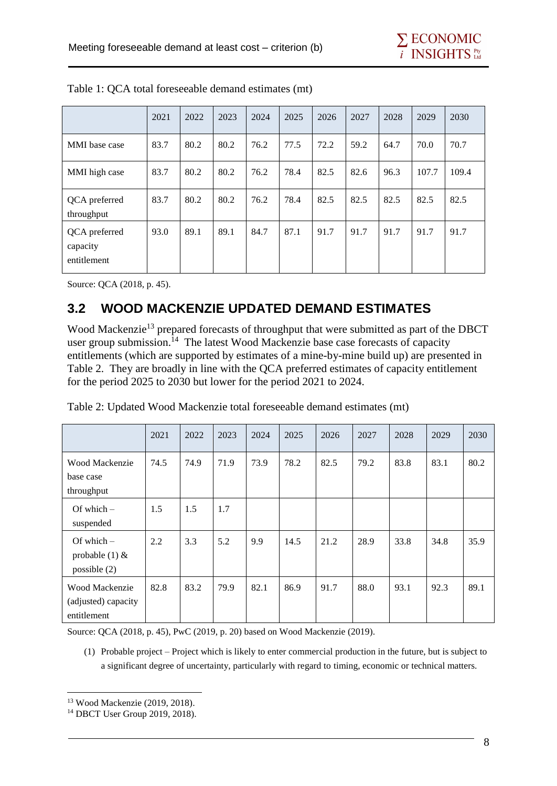|                                          | 2021 | 2022 | 2023 | 2024 | 2025 | 2026 | 2027 | 2028 | 2029  | 2030  |
|------------------------------------------|------|------|------|------|------|------|------|------|-------|-------|
| MMI base case                            | 83.7 | 80.2 | 80.2 | 76.2 | 77.5 | 72.2 | 59.2 | 64.7 | 70.0  | 70.7  |
| MMI high case                            | 83.7 | 80.2 | 80.2 | 76.2 | 78.4 | 82.5 | 82.6 | 96.3 | 107.7 | 109.4 |
| QCA preferred<br>throughput              | 83.7 | 80.2 | 80.2 | 76.2 | 78.4 | 82.5 | 82.5 | 82.5 | 82.5  | 82.5  |
| QCA preferred<br>capacity<br>entitlement | 93.0 | 89.1 | 89.1 | 84.7 | 87.1 | 91.7 | 91.7 | 91.7 | 91.7  | 91.7  |

Table 1: QCA total foreseeable demand estimates (mt)

Source: QCA (2018, p. 45).

## **3.2 WOOD MACKENZIE UPDATED DEMAND ESTIMATES**

Wood Mackenzie<sup>13</sup> prepared forecasts of throughput that were submitted as part of the DBCT user group submission.<sup>14</sup> The latest Wood Mackenzie base case forecasts of capacity entitlements (which are supported by estimates of a mine-by-mine build up) are presented in Table 2. They are broadly in line with the QCA preferred estimates of capacity entitlement for the period 2025 to 2030 but lower for the period 2021 to 2024.

|                                                      | 2021 | 2022 | 2023 | 2024 | 2025 | 2026 | 2027 | 2028 | 2029 | 2030 |
|------------------------------------------------------|------|------|------|------|------|------|------|------|------|------|
| Wood Mackenzie<br>base case<br>throughput            | 74.5 | 74.9 | 71.9 | 73.9 | 78.2 | 82.5 | 79.2 | 83.8 | 83.1 | 80.2 |
| Of which $-$<br>suspended                            | 1.5  | 1.5  | 1.7  |      |      |      |      |      |      |      |
| Of which $-$<br>probable $(1)$ &<br>possible $(2)$   | 2.2  | 3.3  | 5.2  | 9.9  | 14.5 | 21.2 | 28.9 | 33.8 | 34.8 | 35.9 |
| Wood Mackenzie<br>(adjusted) capacity<br>entitlement | 82.8 | 83.2 | 79.9 | 82.1 | 86.9 | 91.7 | 88.0 | 93.1 | 92.3 | 89.1 |

| Table 2: Updated Wood Mackenzie total foreseeable demand estimates (mt) |
|-------------------------------------------------------------------------|
|-------------------------------------------------------------------------|

Source: QCA (2018, p. 45), PwC (2019, p. 20) based on Wood Mackenzie (2019).

(1) Probable project – Project which is likely to enter commercial production in the future, but is subject to a significant degree of uncertainty, particularly with regard to timing, economic or technical matters.

<sup>13</sup> Wood Mackenzie (2019, 2018).

<sup>14</sup> DBCT User Group 2019, 2018).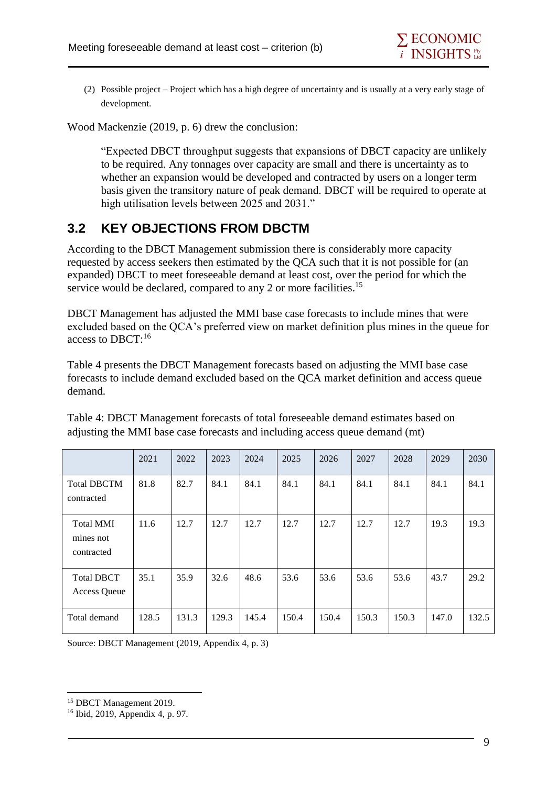(2) Possible project – Project which has a high degree of uncertainty and is usually at a very early stage of development.

Wood Mackenzie (2019, p. 6) drew the conclusion:

"Expected DBCT throughput suggests that expansions of DBCT capacity are unlikely to be required. Any tonnages over capacity are small and there is uncertainty as to whether an expansion would be developed and contracted by users on a longer term basis given the transitory nature of peak demand. DBCT will be required to operate at high utilisation levels between 2025 and 2031."

### **3.2 KEY OBJECTIONS FROM DBCTM**

According to the DBCT Management submission there is considerably more capacity requested by access seekers then estimated by the QCA such that it is not possible for (an expanded) DBCT to meet foreseeable demand at least cost, over the period for which the service would be declared, compared to any 2 or more facilities.<sup>15</sup>

DBCT Management has adjusted the MMI base case forecasts to include mines that were excluded based on the QCA's preferred view on market definition plus mines in the queue for access to DBCT:<sup>16</sup>

Table 4 presents the DBCT Management forecasts based on adjusting the MMI base case forecasts to include demand excluded based on the QCA market definition and access queue demand.

|                                             | 2021  | 2022  | 2023  | 2024  | 2025  | 2026  | 2027  | 2028  | 2029  | 2030  |
|---------------------------------------------|-------|-------|-------|-------|-------|-------|-------|-------|-------|-------|
| <b>Total DBCTM</b><br>contracted            | 81.8  | 82.7  | 84.1  | 84.1  | 84.1  | 84.1  | 84.1  | 84.1  | 84.1  | 84.1  |
| <b>Total MMI</b><br>mines not<br>contracted | 11.6  | 12.7  | 12.7  | 12.7  | 12.7  | 12.7  | 12.7  | 12.7  | 19.3  | 19.3  |
| <b>Total DBCT</b><br><b>Access Queue</b>    | 35.1  | 35.9  | 32.6  | 48.6  | 53.6  | 53.6  | 53.6  | 53.6  | 43.7  | 29.2  |
| Total demand                                | 128.5 | 131.3 | 129.3 | 145.4 | 150.4 | 150.4 | 150.3 | 150.3 | 147.0 | 132.5 |

Table 4: DBCT Management forecasts of total foreseeable demand estimates based on adjusting the MMI base case forecasts and including access queue demand (mt)

Source: DBCT Management (2019, Appendix 4, p. 3)

<sup>&</sup>lt;sup>15</sup> DBCT Management 2019.

<sup>16</sup> Ibid, 2019, Appendix 4, p. 97.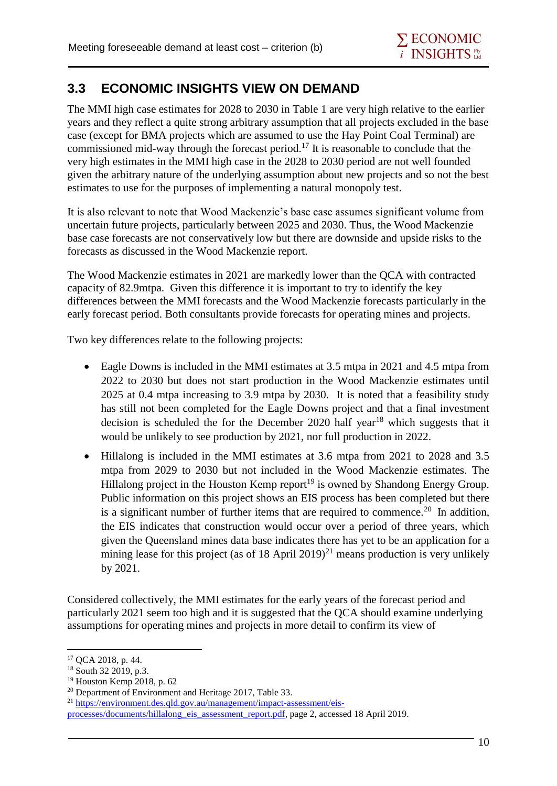### **3.3 ECONOMIC INSIGHTS VIEW ON DEMAND**

The MMI high case estimates for 2028 to 2030 in Table 1 are very high relative to the earlier years and they reflect a quite strong arbitrary assumption that all projects excluded in the base case (except for BMA projects which are assumed to use the Hay Point Coal Terminal) are commissioned mid-way through the forecast period.<sup>17</sup> It is reasonable to conclude that the very high estimates in the MMI high case in the 2028 to 2030 period are not well founded given the arbitrary nature of the underlying assumption about new projects and so not the best estimates to use for the purposes of implementing a natural monopoly test.

It is also relevant to note that Wood Mackenzie's base case assumes significant volume from uncertain future projects, particularly between 2025 and 2030. Thus, the Wood Mackenzie base case forecasts are not conservatively low but there are downside and upside risks to the forecasts as discussed in the Wood Mackenzie report.

The Wood Mackenzie estimates in 2021 are markedly lower than the QCA with contracted capacity of 82.9mtpa. Given this difference it is important to try to identify the key differences between the MMI forecasts and the Wood Mackenzie forecasts particularly in the early forecast period. Both consultants provide forecasts for operating mines and projects.

Two key differences relate to the following projects:

- Eagle Downs is included in the MMI estimates at 3.5 mtpa in 2021 and 4.5 mtpa from 2022 to 2030 but does not start production in the Wood Mackenzie estimates until 2025 at 0.4 mtpa increasing to 3.9 mtpa by 2030. It is noted that a feasibility study has still not been completed for the Eagle Downs project and that a final investment decision is scheduled the for the December 2020 half year<sup>18</sup> which suggests that it would be unlikely to see production by 2021, nor full production in 2022.
- Hillalong is included in the MMI estimates at 3.6 mtpa from 2021 to 2028 and 3.5 mtpa from 2029 to 2030 but not included in the Wood Mackenzie estimates. The Hillalong project in the Houston Kemp report<sup>19</sup> is owned by Shandong Energy Group. Public information on this project shows an EIS process has been completed but there is a significant number of further items that are required to commence.<sup>20</sup> In addition, the EIS indicates that construction would occur over a period of three years, which given the Queensland mines data base indicates there has yet to be an application for a mining lease for this project (as of 18 April 2019)<sup>21</sup> means production is very unlikely by 2021.

Considered collectively, the MMI estimates for the early years of the forecast period and particularly 2021 seem too high and it is suggested that the QCA should examine underlying assumptions for operating mines and projects in more detail to confirm its view of

<sup>1</sup> <sup>17</sup> QCA 2018, p. 44.

<sup>18</sup> South 32 2019, p.3.

<sup>19</sup> Houston Kemp 2018, p. 62

<sup>&</sup>lt;sup>20</sup> Department of Environment and Heritage 2017, Table 33.

<sup>&</sup>lt;sup>21</sup> [https://environment.des.qld.gov.au/management/impact-assessment/eis-](https://environment.des.qld.gov.au/management/impact-assessment/eis-processes/documents/hillalong_eis_assessment_report.pdf)

[processes/documents/hillalong\\_eis\\_assessment\\_report.pdf,](https://environment.des.qld.gov.au/management/impact-assessment/eis-processes/documents/hillalong_eis_assessment_report.pdf) page 2, accessed 18 April 2019.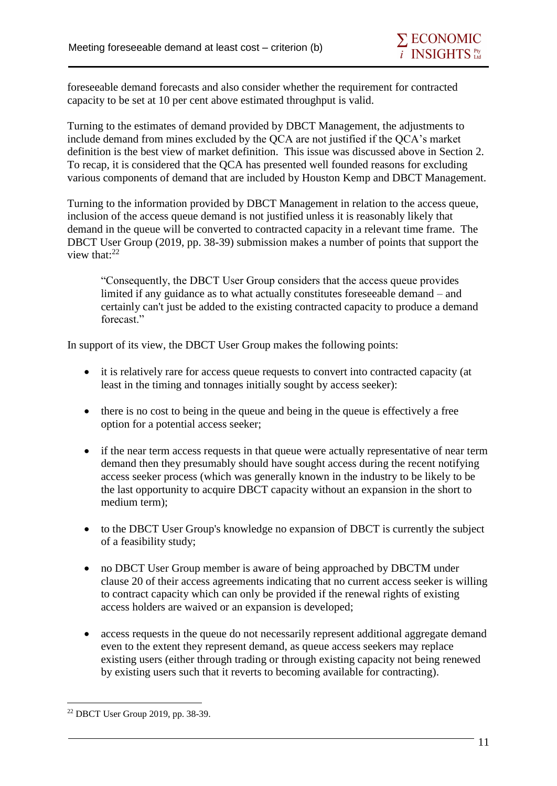foreseeable demand forecasts and also consider whether the requirement for contracted capacity to be set at 10 per cent above estimated throughput is valid.

Turning to the estimates of demand provided by DBCT Management, the adjustments to include demand from mines excluded by the QCA are not justified if the QCA's market definition is the best view of market definition. This issue was discussed above in Section 2. To recap, it is considered that the QCA has presented well founded reasons for excluding various components of demand that are included by Houston Kemp and DBCT Management.

Turning to the information provided by DBCT Management in relation to the access queue, inclusion of the access queue demand is not justified unless it is reasonably likely that demand in the queue will be converted to contracted capacity in a relevant time frame. The DBCT User Group (2019, pp. 38-39) submission makes a number of points that support the view that: $22$ 

"Consequently, the DBCT User Group considers that the access queue provides limited if any guidance as to what actually constitutes foreseeable demand – and certainly can't just be added to the existing contracted capacity to produce a demand forecast."

In support of its view, the DBCT User Group makes the following points:

- it is relatively rare for access queue requests to convert into contracted capacity (at least in the timing and tonnages initially sought by access seeker):
- there is no cost to being in the queue and being in the queue is effectively a free option for a potential access seeker;
- if the near term access requests in that queue were actually representative of near term demand then they presumably should have sought access during the recent notifying access seeker process (which was generally known in the industry to be likely to be the last opportunity to acquire DBCT capacity without an expansion in the short to medium term);
- to the DBCT User Group's knowledge no expansion of DBCT is currently the subject of a feasibility study;
- no DBCT User Group member is aware of being approached by DBCTM under clause 20 of their access agreements indicating that no current access seeker is willing to contract capacity which can only be provided if the renewal rights of existing access holders are waived or an expansion is developed;
- access requests in the queue do not necessarily represent additional aggregate demand even to the extent they represent demand, as queue access seekers may replace existing users (either through trading or through existing capacity not being renewed by existing users such that it reverts to becoming available for contracting).

<sup>1</sup> <sup>22</sup> DBCT User Group 2019, pp. 38-39.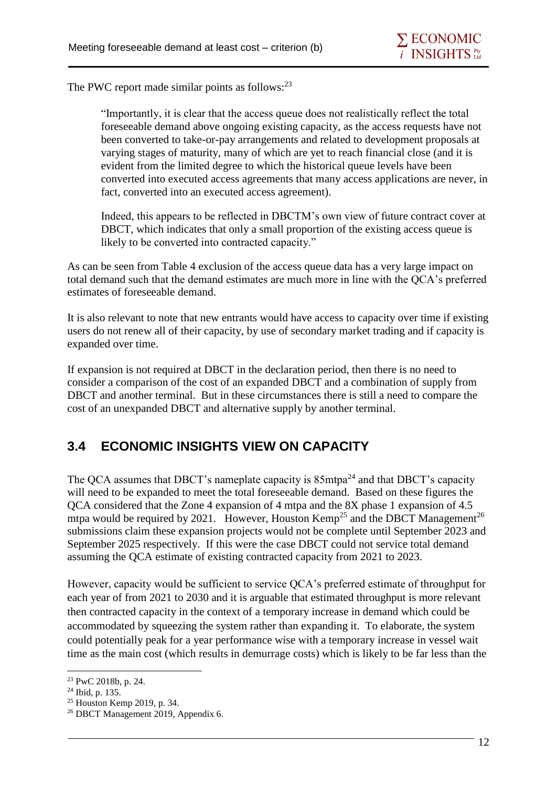The PWC report made similar points as follows:<sup>23</sup>

"Importantly, it is clear that the access queue does not realistically reflect the total foreseeable demand above ongoing existing capacity, as the access requests have not been converted to take-or-pay arrangements and related to development proposals at varying stages of maturity, many of which are yet to reach financial close (and it is evident from the limited degree to which the historical queue levels have been converted into executed access agreements that many access applications are never, in fact, converted into an executed access agreement).

Indeed, this appears to be reflected in DBCTM's own view of future contract cover at DBCT, which indicates that only a small proportion of the existing access queue is likely to be converted into contracted capacity."

As can be seen from Table 4 exclusion of the access queue data has a very large impact on total demand such that the demand estimates are much more in line with the QCA's preferred estimates of foreseeable demand.

It is also relevant to note that new entrants would have access to capacity over time if existing users do not renew all of their capacity, by use of secondary market trading and if capacity is expanded over time.

If expansion is not required at DBCT in the declaration period, then there is no need to consider a comparison of the cost of an expanded DBCT and a combination of supply from DBCT and another terminal. But in these circumstances there is still a need to compare the cost of an unexpanded DBCT and alternative supply by another terminal.

### **3.4 ECONOMIC INSIGHTS VIEW ON CAPACITY**

The OCA assumes that DBCT's nameplate capacity is  $85 \text{m}$ tpa<sup>24</sup> and that DBCT's capacity will need to be expanded to meet the total foreseeable demand. Based on these figures the QCA considered that the Zone 4 expansion of 4 mtpa and the 8X phase 1 expansion of 4.5 mtpa would be required by 2021. However, Houston Kemp<sup>25</sup> and the DBCT Management<sup>26</sup> submissions claim these expansion projects would not be complete until September 2023 and September 2025 respectively. If this were the case DBCT could not service total demand assuming the QCA estimate of existing contracted capacity from 2021 to 2023.

However, capacity would be sufficient to service QCA's preferred estimate of throughput for each year of from 2021 to 2030 and it is arguable that estimated throughput is more relevant then contracted capacity in the context of a temporary increase in demand which could be accommodated by squeezing the system rather than expanding it. To elaborate, the system could potentially peak for a year performance wise with a temporary increase in vessel wait time as the main cost (which results in demurrage costs) which is likely to be far less than the

<sup>23</sup> PwC 2018b, p. 24.

<sup>24</sup> Ibid, p. 135.

<sup>25</sup> Houston Kemp 2019, p. 34.

<sup>26</sup> DBCT Management 2019, Appendix 6.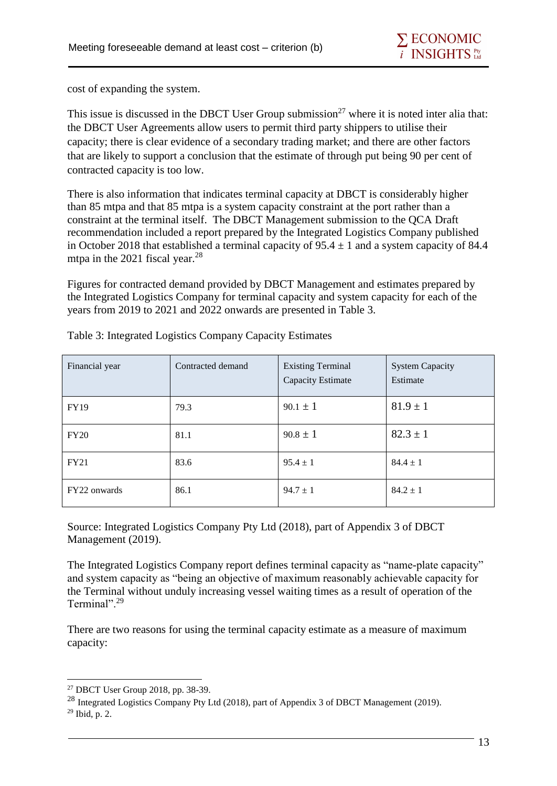cost of expanding the system.

This issue is discussed in the DBCT User Group submission<sup>27</sup> where it is noted inter alia that: the DBCT User Agreements allow users to permit third party shippers to utilise their capacity; there is clear evidence of a secondary trading market; and there are other factors that are likely to support a conclusion that the estimate of through put being 90 per cent of contracted capacity is too low.

There is also information that indicates terminal capacity at DBCT is considerably higher than 85 mtpa and that 85 mtpa is a system capacity constraint at the port rather than a constraint at the terminal itself. The DBCT Management submission to the QCA Draft recommendation included a report prepared by the Integrated Logistics Company published in October 2018 that established a terminal capacity of  $95.4 \pm 1$  and a system capacity of 84.4 mtpa in the 2021 fiscal year.<sup>28</sup>

Figures for contracted demand provided by DBCT Management and estimates prepared by the Integrated Logistics Company for terminal capacity and system capacity for each of the years from 2019 to 2021 and 2022 onwards are presented in Table 3.

| Financial year | Contracted demand | <b>Existing Terminal</b><br>Capacity Estimate | <b>System Capacity</b><br>Estimate |
|----------------|-------------------|-----------------------------------------------|------------------------------------|
| <b>FY19</b>    | 79.3              | $90.1 \pm 1$                                  | $81.9 \pm 1$                       |
| FY20           | 81.1              | $90.8 \pm 1$                                  | $82.3 \pm 1$                       |
| FY21           | 83.6              | $95.4 \pm 1$                                  | $84.4 \pm 1$                       |
| FY22 onwards   | 86.1              | $94.7 \pm 1$                                  | $84.2 \pm 1$                       |

Table 3: Integrated Logistics Company Capacity Estimates

Source: Integrated Logistics Company Pty Ltd (2018), part of Appendix 3 of DBCT Management (2019).

The Integrated Logistics Company report defines terminal capacity as "name-plate capacity" and system capacity as "being an objective of maximum reasonably achievable capacity for the Terminal without unduly increasing vessel waiting times as a result of operation of the Terminal".<sup>29</sup>

There are two reasons for using the terminal capacity estimate as a measure of maximum capacity:

<sup>1</sup> <sup>27</sup> DBCT User Group 2018, pp. 38-39.

<sup>&</sup>lt;sup>28</sup> Integrated Logistics Company Pty Ltd (2018), part of Appendix 3 of DBCT Management (2019).

<sup>29</sup> Ibid, p. 2.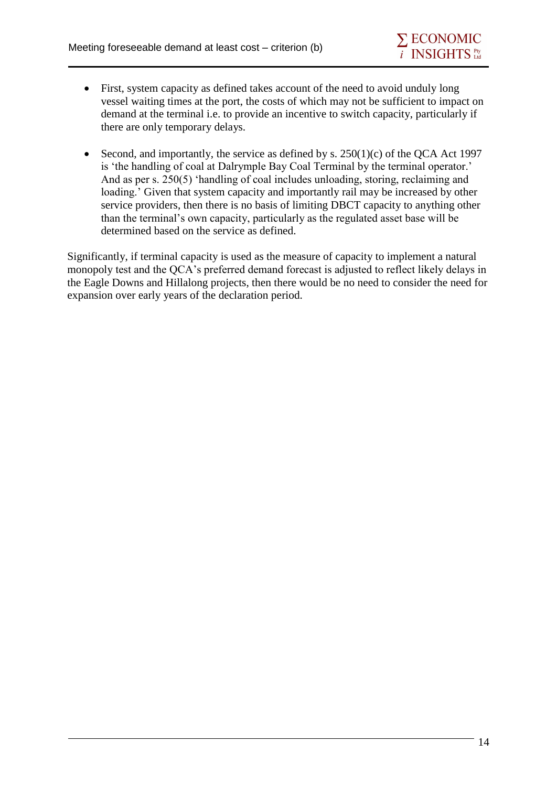- First, system capacity as defined takes account of the need to avoid unduly long vessel waiting times at the port, the costs of which may not be sufficient to impact on demand at the terminal i.e. to provide an incentive to switch capacity, particularly if there are only temporary delays.
- Second, and importantly, the service as defined by s.  $250(1)(c)$  of the QCA Act 1997 is 'the handling of coal at Dalrymple Bay Coal Terminal by the terminal operator.' And as per s. 250(5) 'handling of coal includes unloading, storing, reclaiming and loading.' Given that system capacity and importantly rail may be increased by other service providers, then there is no basis of limiting DBCT capacity to anything other than the terminal's own capacity, particularly as the regulated asset base will be determined based on the service as defined.

Significantly, if terminal capacity is used as the measure of capacity to implement a natural monopoly test and the QCA's preferred demand forecast is adjusted to reflect likely delays in the Eagle Downs and Hillalong projects, then there would be no need to consider the need for expansion over early years of the declaration period.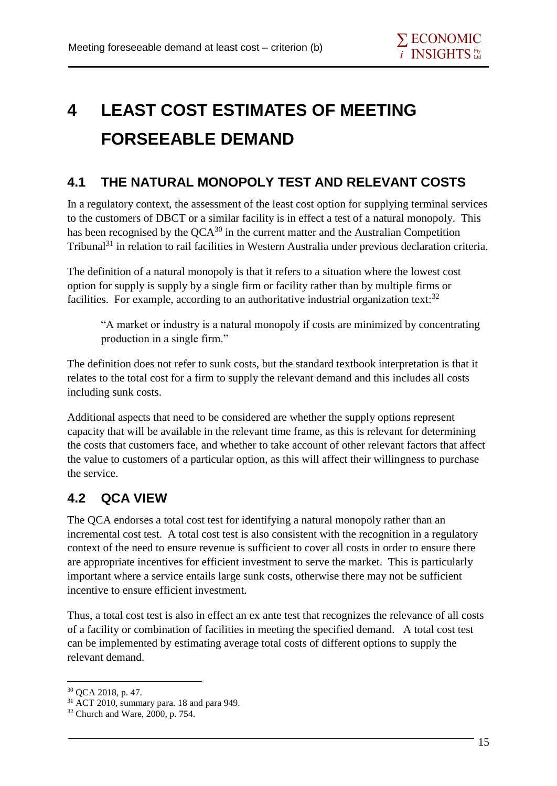## **4 LEAST COST ESTIMATES OF MEETING FORSEEABLE DEMAND**

### **4.1 THE NATURAL MONOPOLY TEST AND RELEVANT COSTS**

In a regulatory context, the assessment of the least cost option for supplying terminal services to the customers of DBCT or a similar facility is in effect a test of a natural monopoly. This has been recognised by the  $OCA^{30}$  in the current matter and the Australian Competition Tribunal<sup>31</sup> in relation to rail facilities in Western Australia under previous declaration criteria.

The definition of a natural monopoly is that it refers to a situation where the lowest cost option for supply is supply by a single firm or facility rather than by multiple firms or facilities. For example, according to an authoritative industrial organization text: $32$ 

"A market or industry is a natural monopoly if costs are minimized by concentrating production in a single firm."

The definition does not refer to sunk costs, but the standard textbook interpretation is that it relates to the total cost for a firm to supply the relevant demand and this includes all costs including sunk costs.

Additional aspects that need to be considered are whether the supply options represent capacity that will be available in the relevant time frame, as this is relevant for determining the costs that customers face, and whether to take account of other relevant factors that affect the value to customers of a particular option, as this will affect their willingness to purchase the service.

## **4.2 QCA VIEW**

The QCA endorses a total cost test for identifying a natural monopoly rather than an incremental cost test. A total cost test is also consistent with the recognition in a regulatory context of the need to ensure revenue is sufficient to cover all costs in order to ensure there are appropriate incentives for efficient investment to serve the market. This is particularly important where a service entails large sunk costs, otherwise there may not be sufficient incentive to ensure efficient investment.

Thus, a total cost test is also in effect an ex ante test that recognizes the relevance of all costs of a facility or combination of facilities in meeting the specified demand. A total cost test can be implemented by estimating average total costs of different options to supply the relevant demand.

<sup>30</sup> QCA 2018, p. 47.

<sup>&</sup>lt;sup>31</sup> ACT 2010, summary para. 18 and para 949.

<sup>32</sup> Church and Ware, 2000, p. 754.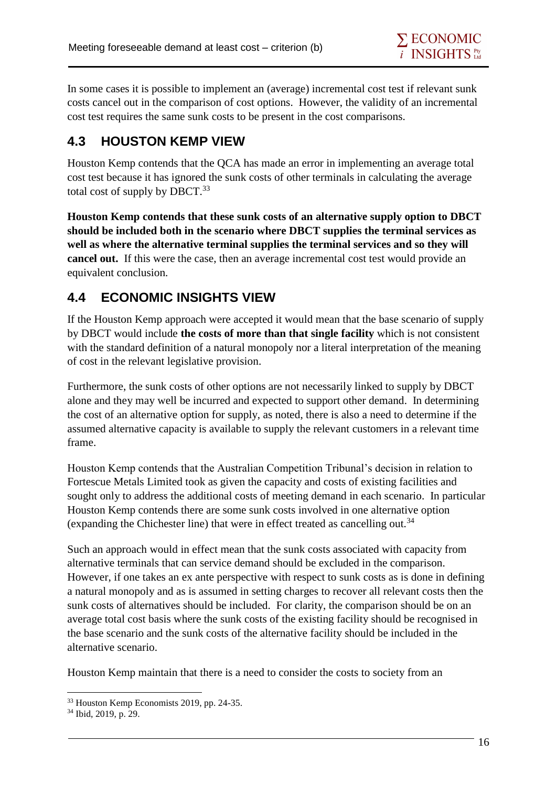In some cases it is possible to implement an (average) incremental cost test if relevant sunk costs cancel out in the comparison of cost options. However, the validity of an incremental cost test requires the same sunk costs to be present in the cost comparisons.

### **4.3 HOUSTON KEMP VIEW**

Houston Kemp contends that the QCA has made an error in implementing an average total cost test because it has ignored the sunk costs of other terminals in calculating the average total cost of supply by DBCT. $^{33}$ 

**Houston Kemp contends that these sunk costs of an alternative supply option to DBCT should be included both in the scenario where DBCT supplies the terminal services as well as where the alternative terminal supplies the terminal services and so they will cancel out.** If this were the case, then an average incremental cost test would provide an equivalent conclusion.

## **4.4 ECONOMIC INSIGHTS VIEW**

If the Houston Kemp approach were accepted it would mean that the base scenario of supply by DBCT would include **the costs of more than that single facility** which is not consistent with the standard definition of a natural monopoly nor a literal interpretation of the meaning of cost in the relevant legislative provision.

Furthermore, the sunk costs of other options are not necessarily linked to supply by DBCT alone and they may well be incurred and expected to support other demand. In determining the cost of an alternative option for supply, as noted, there is also a need to determine if the assumed alternative capacity is available to supply the relevant customers in a relevant time frame.

Houston Kemp contends that the Australian Competition Tribunal's decision in relation to Fortescue Metals Limited took as given the capacity and costs of existing facilities and sought only to address the additional costs of meeting demand in each scenario. In particular Houston Kemp contends there are some sunk costs involved in one alternative option (expanding the Chichester line) that were in effect treated as cancelling out.<sup>34</sup>

Such an approach would in effect mean that the sunk costs associated with capacity from alternative terminals that can service demand should be excluded in the comparison. However, if one takes an ex ante perspective with respect to sunk costs as is done in defining a natural monopoly and as is assumed in setting charges to recover all relevant costs then the sunk costs of alternatives should be included. For clarity, the comparison should be on an average total cost basis where the sunk costs of the existing facility should be recognised in the base scenario and the sunk costs of the alternative facility should be included in the alternative scenario.

Houston Kemp maintain that there is a need to consider the costs to society from an

<sup>33</sup> Houston Kemp Economists 2019, pp. 24-35.

<sup>34</sup> Ibid, 2019, p. 29.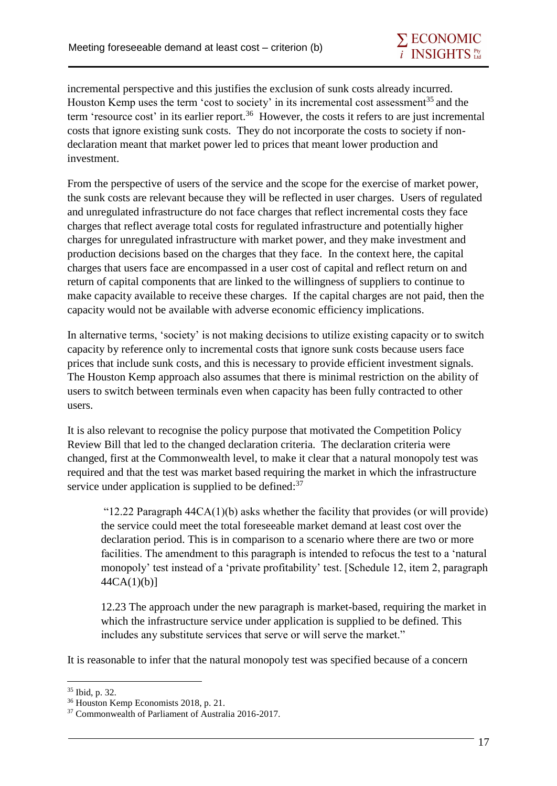incremental perspective and this justifies the exclusion of sunk costs already incurred. Houston Kemp uses the term 'cost to society' in its incremental cost assessment<sup>35</sup> and the term 'resource cost' in its earlier report.<sup>36</sup> However, the costs it refers to are just incremental costs that ignore existing sunk costs. They do not incorporate the costs to society if nondeclaration meant that market power led to prices that meant lower production and investment.

From the perspective of users of the service and the scope for the exercise of market power, the sunk costs are relevant because they will be reflected in user charges. Users of regulated and unregulated infrastructure do not face charges that reflect incremental costs they face charges that reflect average total costs for regulated infrastructure and potentially higher charges for unregulated infrastructure with market power, and they make investment and production decisions based on the charges that they face. In the context here, the capital charges that users face are encompassed in a user cost of capital and reflect return on and return of capital components that are linked to the willingness of suppliers to continue to make capacity available to receive these charges. If the capital charges are not paid, then the capacity would not be available with adverse economic efficiency implications.

In alternative terms, 'society' is not making decisions to utilize existing capacity or to switch capacity by reference only to incremental costs that ignore sunk costs because users face prices that include sunk costs, and this is necessary to provide efficient investment signals. The Houston Kemp approach also assumes that there is minimal restriction on the ability of users to switch between terminals even when capacity has been fully contracted to other users.

It is also relevant to recognise the policy purpose that motivated the Competition Policy Review Bill that led to the changed declaration criteria. The declaration criteria were changed, first at the Commonwealth level, to make it clear that a natural monopoly test was required and that the test was market based requiring the market in which the infrastructure service under application is supplied to be defined: $37$ 

"12.22 Paragraph  $44CA(1)(b)$  asks whether the facility that provides (or will provide) the service could meet the total foreseeable market demand at least cost over the declaration period. This is in comparison to a scenario where there are two or more facilities. The amendment to this paragraph is intended to refocus the test to a 'natural monopoly' test instead of a 'private profitability' test. [Schedule 12, item 2, paragraph 44CA(1)(b)]

12.23 The approach under the new paragraph is market-based, requiring the market in which the infrastructure service under application is supplied to be defined. This includes any substitute services that serve or will serve the market."

It is reasonable to infer that the natural monopoly test was specified because of a concern

<sup>35</sup> Ibid, p. 32.

<sup>36</sup> Houston Kemp Economists 2018, p. 21.

<sup>37</sup> Commonwealth of Parliament of Australia 2016-2017.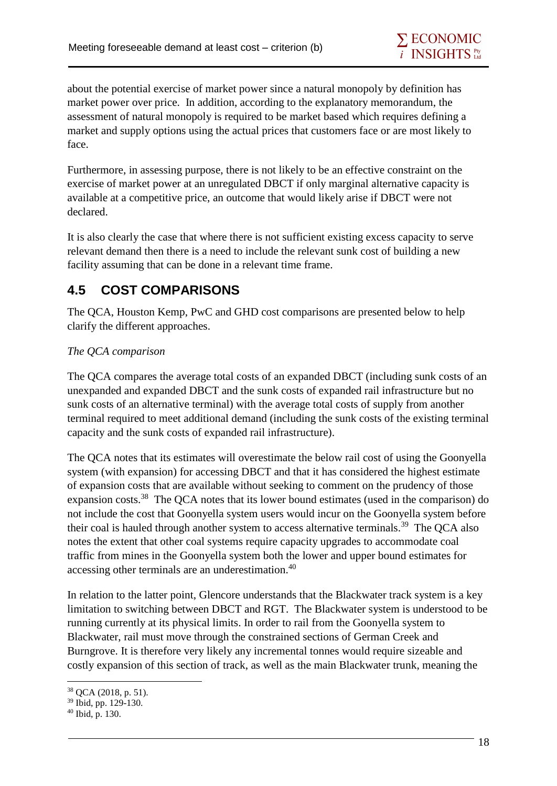about the potential exercise of market power since a natural monopoly by definition has market power over price. In addition, according to the explanatory memorandum, the assessment of natural monopoly is required to be market based which requires defining a market and supply options using the actual prices that customers face or are most likely to face.

Furthermore, in assessing purpose, there is not likely to be an effective constraint on the exercise of market power at an unregulated DBCT if only marginal alternative capacity is available at a competitive price, an outcome that would likely arise if DBCT were not declared.

It is also clearly the case that where there is not sufficient existing excess capacity to serve relevant demand then there is a need to include the relevant sunk cost of building a new facility assuming that can be done in a relevant time frame.

## **4.5 COST COMPARISONS**

The QCA, Houston Kemp, PwC and GHD cost comparisons are presented below to help clarify the different approaches.

#### *The QCA comparison*

The QCA compares the average total costs of an expanded DBCT (including sunk costs of an unexpanded and expanded DBCT and the sunk costs of expanded rail infrastructure but no sunk costs of an alternative terminal) with the average total costs of supply from another terminal required to meet additional demand (including the sunk costs of the existing terminal capacity and the sunk costs of expanded rail infrastructure).

The QCA notes that its estimates will overestimate the below rail cost of using the Goonyella system (with expansion) for accessing DBCT and that it has considered the highest estimate of expansion costs that are available without seeking to comment on the prudency of those expansion costs.<sup>38</sup> The QCA notes that its lower bound estimates (used in the comparison) do not include the cost that Goonyella system users would incur on the Goonyella system before their coal is hauled through another system to access alternative terminals.<sup>39</sup> The QCA also notes the extent that other coal systems require capacity upgrades to accommodate coal traffic from mines in the Goonyella system both the lower and upper bound estimates for accessing other terminals are an underestimation.<sup>40</sup>

In relation to the latter point, Glencore understands that the Blackwater track system is a key limitation to switching between DBCT and RGT. The Blackwater system is understood to be running currently at its physical limits. In order to rail from the Goonyella system to Blackwater, rail must move through the constrained sections of German Creek and Burngrove. It is therefore very likely any incremental tonnes would require sizeable and costly expansion of this section of track, as well as the main Blackwater trunk, meaning the

<sup>38</sup> QCA (2018, p. 51).

<sup>39</sup> Ibid, pp. 129-130.

 $40$  Ibid, p. 130.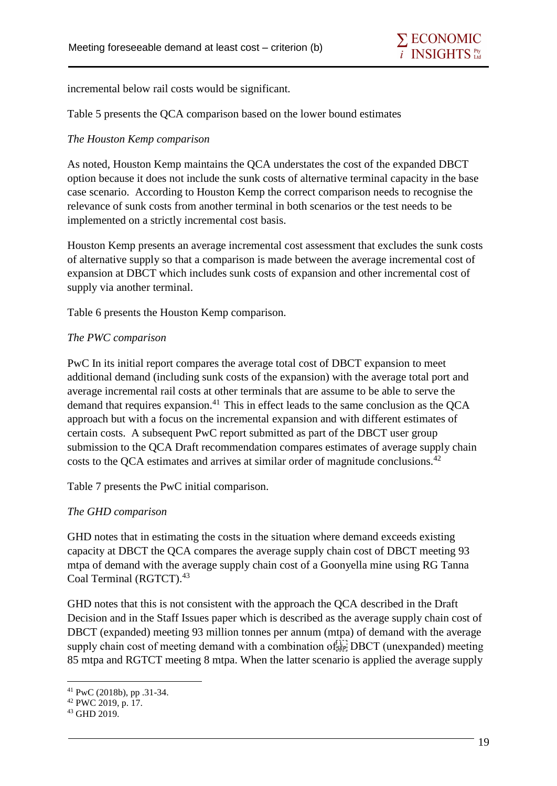incremental below rail costs would be significant.

Table 5 presents the QCA comparison based on the lower bound estimates

#### *The Houston Kemp comparison*

As noted, Houston Kemp maintains the QCA understates the cost of the expanded DBCT option because it does not include the sunk costs of alternative terminal capacity in the base case scenario. According to Houston Kemp the correct comparison needs to recognise the relevance of sunk costs from another terminal in both scenarios or the test needs to be implemented on a strictly incremental cost basis.

Houston Kemp presents an average incremental cost assessment that excludes the sunk costs of alternative supply so that a comparison is made between the average incremental cost of expansion at DBCT which includes sunk costs of expansion and other incremental cost of supply via another terminal.

Table 6 presents the Houston Kemp comparison.

#### *The PWC comparison*

PwC In its initial report compares the average total cost of DBCT expansion to meet additional demand (including sunk costs of the expansion) with the average total port and average incremental rail costs at other terminals that are assume to be able to serve the demand that requires expansion.<sup>41</sup> This in effect leads to the same conclusion as the  $OCA$ approach but with a focus on the incremental expansion and with different estimates of certain costs. A subsequent PwC report submitted as part of the DBCT user group submission to the QCA Draft recommendation compares estimates of average supply chain costs to the OCA estimates and arrives at similar order of magnitude conclusions.<sup>42</sup>

Table 7 presents the PwC initial comparison.

#### *The GHD comparison*

GHD notes that in estimating the costs in the situation where demand exceeds existing capacity at DBCT the QCA compares the average supply chain cost of DBCT meeting 93 mtpa of demand with the average supply chain cost of a Goonyella mine using RG Tanna Coal Terminal (RGTCT).<sup>43</sup>

GHD notes that this is not consistent with the approach the QCA described in the Draft Decision and in the Staff Issues paper which is described as the average supply chain cost of DBCT (expanded) meeting 93 million tonnes per annum (mtpa) of demand with the average supply chain cost of meeting demand with a combination of  $f_{\text{SEP}}^{[1]}$  DBCT (unexpanded) meeting 85 mtpa and RGTCT meeting 8 mtpa. When the latter scenario is applied the average supply

<sup>1</sup> <sup>41</sup> PwC (2018b), pp .31-34.

<sup>42</sup> PWC 2019, p. 17.

<sup>43</sup> GHD 2019.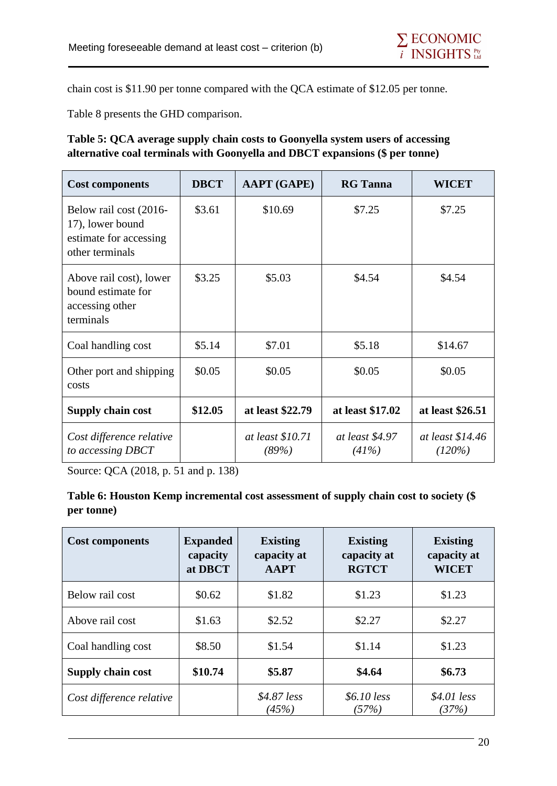chain cost is \$11.90 per tonne compared with the QCA estimate of \$12.05 per tonne.

Table 8 presents the GHD comparison.

#### **Table 5: QCA average supply chain costs to Goonyella system users of accessing alternative coal terminals with Goonyella and DBCT expansions (\$ per tonne)**

| <b>Cost components</b>                                                                  | <b>DBCT</b> | <b>AAPT</b> (GAPE)        | <b>RG</b> Tanna          | <b>WICET</b>               |
|-----------------------------------------------------------------------------------------|-------------|---------------------------|--------------------------|----------------------------|
| Below rail cost (2016-<br>17), lower bound<br>estimate for accessing<br>other terminals | \$3.61      | \$10.69                   | \$7.25                   | \$7.25                     |
| Above rail cost), lower<br>bound estimate for<br>accessing other<br>terminals           | \$3.25      | \$5.03                    | \$4.54                   | \$4.54                     |
| Coal handling cost                                                                      | \$5.14      | \$7.01                    | \$5.18                   | \$14.67                    |
| Other port and shipping<br>costs                                                        | \$0.05      | \$0.05                    | \$0.05                   | \$0.05                     |
| <b>Supply chain cost</b>                                                                | \$12.05     | at least \$22.79          | at least \$17.02         | at least \$26.51           |
| Cost difference relative<br>to accessing DBCT                                           |             | at least \$10.71<br>(89%) | at least \$4.97<br>(41%) | at least \$14.46<br>(120%) |

Source: QCA (2018, p. 51 and p. 138)

#### **Table 6: Houston Kemp incremental cost assessment of supply chain cost to society (\$ per tonne)**

| <b>Cost components</b>   | <b>Expanded</b><br>capacity<br>at DBCT | <b>Existing</b><br>capacity at<br><b>AAPT</b> | <b>Existing</b><br>capacity at<br><b>RGTCT</b> | <b>Existing</b><br>capacity at<br><b>WICET</b> |
|--------------------------|----------------------------------------|-----------------------------------------------|------------------------------------------------|------------------------------------------------|
| Below rail cost          | \$0.62                                 | \$1.82                                        | \$1.23                                         | \$1.23                                         |
| Above rail cost          | \$1.63                                 | \$2.52                                        | \$2.27                                         | \$2.27                                         |
| Coal handling cost       | \$8.50                                 | \$1.54                                        | \$1.14                                         | \$1.23                                         |
| Supply chain cost        | \$10.74                                | \$5.87                                        | \$4.64                                         | \$6.73                                         |
| Cost difference relative |                                        | $$4.87$ less<br>(45%)                         | $$6.10$ less<br>(57%)                          | $$4.01$ less<br>(37%)                          |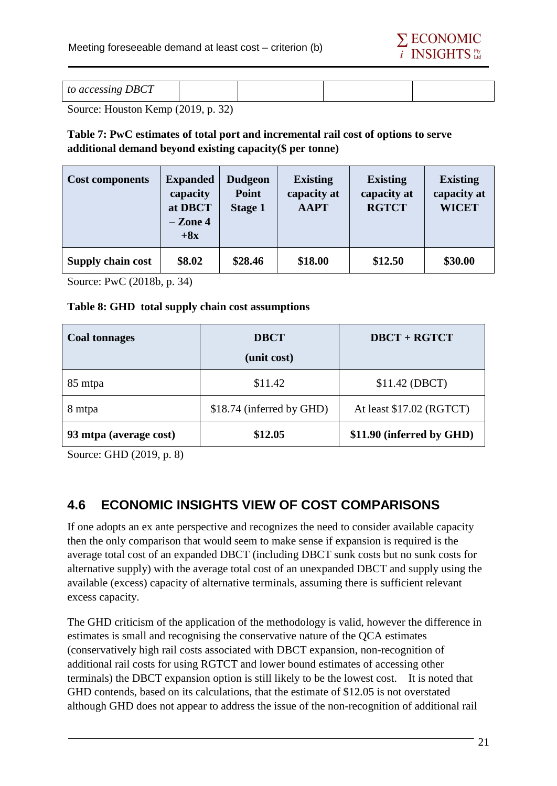

| to accessing DBCT |  |
|-------------------|--|
|-------------------|--|

Source: Houston Kemp (2019, p. 32)

#### **Table 7: PwC estimates of total port and incremental rail cost of options to serve additional demand beyond existing capacity(\$ per tonne)**

| <b>Cost components</b> | <b>Expanded</b><br>capacity<br>at DBCT<br>$-Zone 4$<br>$+8x$ | <b>Dudgeon</b><br>Point<br><b>Stage 1</b> | <b>Existing</b><br>capacity at<br><b>AAPT</b> | <b>Existing</b><br>capacity at<br><b>RGTCT</b> | <b>Existing</b><br>capacity at<br><b>WICET</b> |
|------------------------|--------------------------------------------------------------|-------------------------------------------|-----------------------------------------------|------------------------------------------------|------------------------------------------------|
| Supply chain cost      | \$8.02                                                       | \$28.46                                   | \$18.00                                       | \$12.50                                        | \$30.00                                        |

Source: PwC (2018b, p. 34)

#### **Table 8: GHD total supply chain cost assumptions**

| <b>Coal tonnages</b>   | <b>DBCT</b>               | <b>DBCT + RGTCT</b>       |
|------------------------|---------------------------|---------------------------|
|                        | (unit cost)               |                           |
| 85 mtpa                | \$11.42                   | \$11.42 (DBCT)            |
| 8 mtpa                 | \$18.74 (inferred by GHD) | At least \$17.02 (RGTCT)  |
| 93 mtpa (average cost) | \$12.05                   | \$11.90 (inferred by GHD) |

Source: GHD (2019, p. 8)

### **4.6 ECONOMIC INSIGHTS VIEW OF COST COMPARISONS**

If one adopts an ex ante perspective and recognizes the need to consider available capacity then the only comparison that would seem to make sense if expansion is required is the average total cost of an expanded DBCT (including DBCT sunk costs but no sunk costs for alternative supply) with the average total cost of an unexpanded DBCT and supply using the available (excess) capacity of alternative terminals, assuming there is sufficient relevant excess capacity.

The GHD criticism of the application of the methodology is valid, however the difference in estimates is small and recognising the conservative nature of the QCA estimates (conservatively high rail costs associated with DBCT expansion, non-recognition of additional rail costs for using RGTCT and lower bound estimates of accessing other terminals) the DBCT expansion option is still likely to be the lowest cost. It is noted that GHD contends, based on its calculations, that the estimate of \$12.05 is not overstated although GHD does not appear to address the issue of the non-recognition of additional rail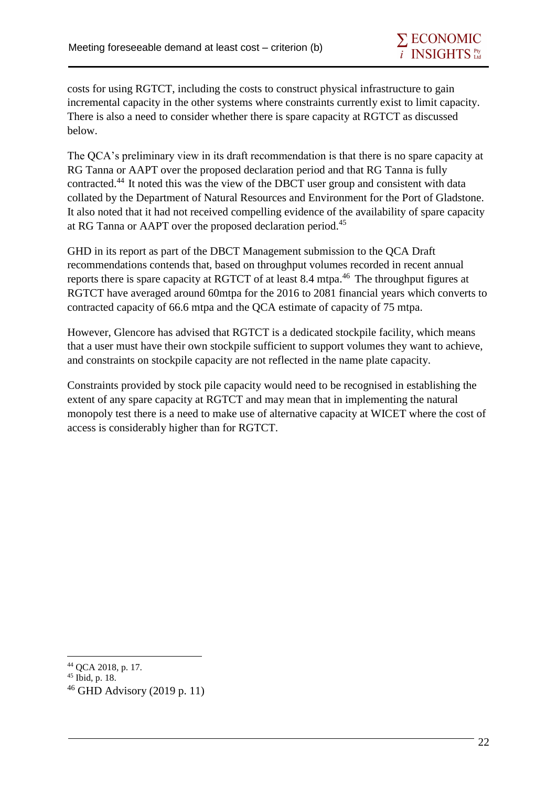costs for using RGTCT, including the costs to construct physical infrastructure to gain incremental capacity in the other systems where constraints currently exist to limit capacity. There is also a need to consider whether there is spare capacity at RGTCT as discussed below.

The QCA's preliminary view in its draft recommendation is that there is no spare capacity at RG Tanna or AAPT over the proposed declaration period and that RG Tanna is fully contracted.<sup>44</sup> It noted this was the view of the DBCT user group and consistent with data collated by the Department of Natural Resources and Environment for the Port of Gladstone. It also noted that it had not received compelling evidence of the availability of spare capacity at RG Tanna or AAPT over the proposed declaration period.<sup>45</sup>

GHD in its report as part of the DBCT Management submission to the QCA Draft recommendations contends that, based on throughput volumes recorded in recent annual reports there is spare capacity at RGTCT of at least 8.4 mtpa.<sup>46</sup> The throughput figures at RGTCT have averaged around 60mtpa for the 2016 to 2081 financial years which converts to contracted capacity of 66.6 mtpa and the QCA estimate of capacity of 75 mtpa.

However, Glencore has advised that RGTCT is a dedicated stockpile facility, which means that a user must have their own stockpile sufficient to support volumes they want to achieve, and constraints on stockpile capacity are not reflected in the name plate capacity.

Constraints provided by stock pile capacity would need to be recognised in establishing the extent of any spare capacity at RGTCT and may mean that in implementing the natural monopoly test there is a need to make use of alternative capacity at WICET where the cost of access is considerably higher than for RGTCT.

<sup>1</sup> <sup>44</sup> QCA 2018, p. 17.

<sup>45</sup> Ibid, p. 18.

 $46$  GHD Advisory (2019 p. 11)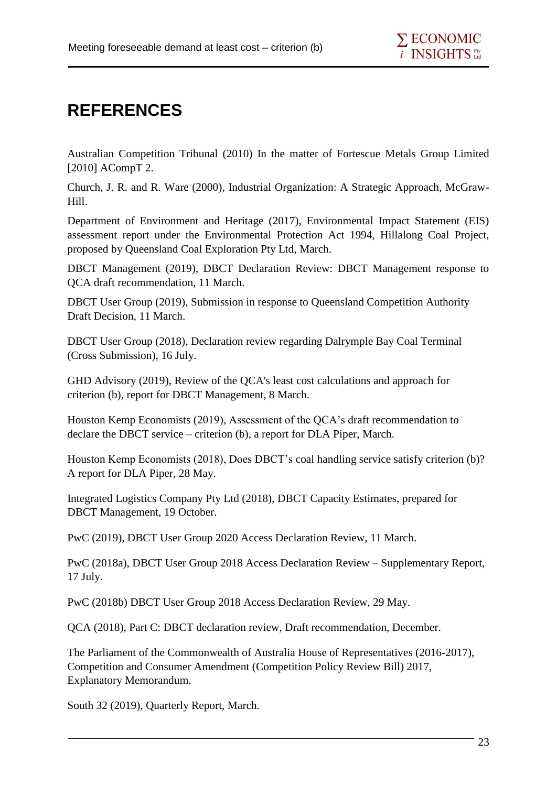## **REFERENCES**

Australian Competition Tribunal (2010) In the matter of Fortescue Metals Group Limited [2010] ACompT 2.

Church, J. R. and R. Ware (2000), Industrial Organization: A Strategic Approach, McGraw-Hill.

Department of Environment and Heritage (2017), Environmental Impact Statement (EIS) assessment report under the Environmental Protection Act 1994, Hillalong Coal Project, proposed by Queensland Coal Exploration Pty Ltd, March.

DBCT Management (2019), DBCT Declaration Review: DBCT Management response to QCA draft recommendation, 11 March.

DBCT User Group (2019), Submission in response to Queensland Competition Authority Draft Decision, 11 March.

DBCT User Group (2018), Declaration review regarding Dalrymple Bay Coal Terminal (Cross Submission), 16 July.

GHD Advisory (2019), Review of the QCA's least cost calculations and approach for criterion (b), report for DBCT Management, 8 March.

Houston Kemp Economists (2019), Assessment of the QCA's draft recommendation to declare the DBCT service – criterion (b), a report for DLA Piper, March.

Houston Kemp Economists (2018), Does DBCT's coal handling service satisfy criterion (b)? A report for DLA Piper, 28 May.

Integrated Logistics Company Pty Ltd (2018), DBCT Capacity Estimates, prepared for DBCT Management, 19 October.

PwC (2019), DBCT User Group 2020 Access Declaration Review, 11 March.

PwC (2018a), DBCT User Group 2018 Access Declaration Review – Supplementary Report, 17 July.

PwC (2018b) DBCT User Group 2018 Access Declaration Review, 29 May.

QCA (2018), Part C: DBCT declaration review, Draft recommendation, December.

The Parliament of the Commonwealth of Australia House of Representatives (2016-2017), Competition and Consumer Amendment (Competition Policy Review Bill) 2017, Explanatory Memorandum.

South 32 (2019), Quarterly Report, March.